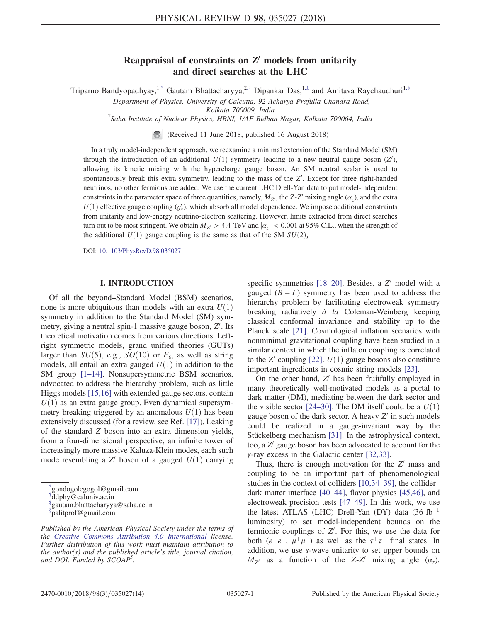# Reappraisal of constraints on  $Z'$  models from unitarity and direct searches at the LHC

<span id="page-0-4"></span>Triparno Bandyopadhyay,<sup>1[,\\*](#page-0-0)</sup> Gautam Bhattacharyya,<sup>2,[†](#page-0-1)</sup> Dipankar Das,<sup>1,[‡](#page-0-2)</sup> and Amitava Raychaudhuri<sup>1[,§](#page-0-3)</sup>

<sup>1</sup>Department of Physics, University of Calcutta, 92 Acharya Prafulla Chandra Road,

Kolkata 700009, India<br><sup>2</sup>Saha Institute of Nuclear Physics, HBNI, 1/AF Bidhan Nagar, Kolkata 700064, India

(Received 11 June 2018; published 16 August 2018)

In a truly model-independent approach, we reexamine a minimal extension of the Standard Model (SM) through the introduction of an additional  $U(1)$  symmetry leading to a new neutral gauge boson (Z'), allowing its kinetic mixing with the hypercharge gauge boson. An SM neutral scalar is used to allowing its kinetic mixing with the hypercharge gauge boson. An SM neutral scalar is used to spontaneously break this extra symmetry, leading to the mass of the Z'. Except for three right-handed neutrinos, no other fermions are added. We use the current LHC Drell-Yan data to put model-independent constraints in the parameter space of three quantities, namely,  $M_{Z}$ , the Z-Z' mixing angle ( $\alpha_z$ ), and the extra  $U(1)$  effective gauge coupling  $(g'_x)$ , which absorb all model dependence. We impose additional constraints from unitarity and low energy neutrino electron scattering. However, limits extracted from direct searches from unitarity and low-energy neutrino-electron scattering. However, limits extracted from direct searches turn out to be most stringent. We obtain  $M_{Z'} > 4.4$  TeV and  $|\alpha_z| < 0.001$  at 95% C.L., when the strength of the additional  $U(1)$  gauge coupling is the same as that of the SM  $SU(2)_L$ .

DOI: [10.1103/PhysRevD.98.035027](https://doi.org/10.1103/PhysRevD.98.035027)

#### I. INTRODUCTION

Of all the beyond–Standard Model (BSM) scenarios, none is more ubiquitous than models with an extra  $U(1)$ symmetry in addition to the Standard Model (SM) symmetry, giving a neutral spin-1 massive gauge boson,  $Z'$ . Its theoretical motivation comes from various directions. Leftright symmetric models, grand unified theories (GUTs) larger than  $SU(5)$ , e.g.,  $SO(10)$  or  $E_6$ , as well as string models, all entail an extra gauged  $U(1)$  in addition to the SM group [1–[14\]](#page-11-0). Nonsupersymmetric BSM scenarios, advocated to address the hierarchy problem, such as little Higgs models [\[15,16\]](#page-11-1) with extended gauge sectors, contain  $U(1)$  as an extra gauge group. Even dynamical supersymmetry breaking triggered by an anomalous  $U(1)$  has been extensively discussed (for a review, see Ref. [\[17\]](#page-11-2)). Leaking of the standard Z boson into an extra dimension yields, from a four-dimensional perspective, an infinite tower of increasingly more massive Kaluza-Klein modes, each such mode resembling a Z' boson of a gauged  $U(1)$  carrying specific symmetries  $[18–20]$ . Besides, a Z' model with a gauged  $(B - L)$  symmetry has been used to address the hierarchy problem by facilitating electroweak symmetry breaking radiatively  $\dot{a}$  la Coleman-Weinberg keeping classical conformal invariance and stability up to the Planck scale [\[21\].](#page-11-4) Cosmological inflation scenarios with nonminimal gravitational coupling have been studied in a similar context in which the inflaton coupling is correlated to the Z' coupling [\[22\]](#page-11-5).  $U(1)$  gauge bosons also constitute important ingredients in cosmic string models [\[23\].](#page-11-6)

On the other hand,  $Z'$  has been fruitfully employed in many theoretically well-motivated models as a portal to dark matter (DM), mediating between the dark sector and the visible sector  $[24-30]$  $[24-30]$ . The DM itself could be a  $U(1)$ gauge boson of the dark sector. A heavy  $Z'$  in such models could be realized in a gauge-invariant way by the Stückelberg mechanism [\[31\]](#page-11-8). In the astrophysical context, too, a  $Z'$  gauge boson has been advocated to account for the  $γ$ -ray excess in the Galactic center [\[32,33\]](#page-11-9).

Thus, there is enough motivation for the  $Z'$  mass and coupling to be an important part of phenomenological studies in the context of colliders [\[10,34](#page-11-10)–39], the collider– dark matter interface [\[40](#page-11-11)–44], flavor physics [\[45,46\],](#page-12-0) and electroweak precision tests [\[47](#page-12-1)–49]. In this work, we use the latest ATLAS (LHC) Drell-Yan (DY) data  $(36$  fb<sup>-1</sup> luminosity) to set model-independent bounds on the fermionic couplings of  $Z'$ . For this, we use the data for both ( $e^+e^-$ ,  $\mu^+\mu^-$ ) as well as the  $\tau^+\tau^-$  final states. In addition, we use s-wave unitarity to set upper bounds on  $M_{Z'}$  as a function of the Z-Z' mixing angle  $(\alpha_z)$ .

<span id="page-0-0"></span>[<sup>\\*</sup>](#page-0-4) gondogolegogol@gmail.com

<span id="page-0-1"></span>[<sup>†</sup>](#page-0-4) ddphy@caluniv.ac.in

<span id="page-0-2"></span>[<sup>‡</sup>](#page-0-4) gautam.bhattacharyya@saha.ac.in

<span id="page-0-3"></span>[<sup>§</sup>](#page-0-4) palitprof@gmail.com

Published by the American Physical Society under the terms of the [Creative Commons Attribution 4.0 International](https://creativecommons.org/licenses/by/4.0/) license. Further distribution of this work must maintain attribution to the author(s) and the published article's title, journal citation, and DOI. Funded by SCOAP<sup>3</sup>.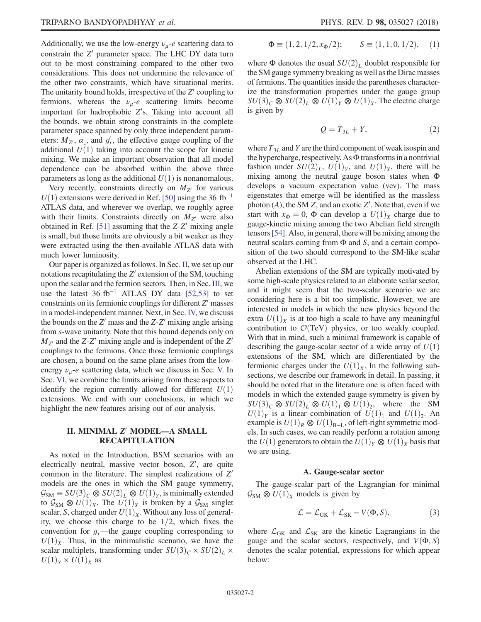Additionally, we use the low-energy  $\nu_{\mu}$ -e scattering data to constrain the  $Z'$  parameter space. The LHC DY data turn out to be most constraining compared to the other two considerations. This does not undermine the relevance of the other two constraints, which have situational merits. The unitarity bound holds, irrespective of the  $Z'$  coupling to fermions, whereas the  $\nu_{\mu}$ -e scattering limits become important for hadrophobic  $Z$ 's. Taking into account all the bounds, we obtain strong constraints in the complete parameter space spanned by only three independent parameters:  $M_{Z'}$ ,  $\alpha_z$ , and  $g'_x$ , the effective gauge coupling of the additional  $U(1)$  taking into account the scope for kinetic mixing. We make an important observation that all model dependence can be absorbed within the above three parameters as long as the additional  $U(1)$  is nonanomalous.

Very recently, constraints directly on  $M_{Z'}$  for various  $U(1)$  extensions were derived in Ref. [\[50\]](#page-12-2) using the 36 fb<sup>-1</sup> ATLAS data, and wherever we overlap, we roughly agree with their limits. Constraints directly on  $M_{Z}$  were also obtained in Ref. [\[51\]](#page-12-3) assuming that the  $Z-Z'$  mixing angle is small, but those limits are obviously a bit weaker as they were extracted using the then-available ATLAS data with much lower luminosity.

Our paper is organized as follows. In Sec. [II,](#page-1-0) we set up our notations recapitulating the  $Z'$  extension of the SM, touching upon the scalar and the fermion sectors. Then, in Sec. [III](#page-5-0), we use the latest 36 fb<sup>−</sup><sup>1</sup> ATLAS DY data [\[52,53\]](#page-12-4) to set constraints on its fermionic couplings for different  $Z'$  masses in a model-independent manner. Next, in Sec. [IV,](#page-5-1) we discuss the bounds on the  $Z'$  mass and the  $Z-Z'$  mixing angle arising from s-wave unitarity. Note that this bound depends only on  $M_{Z'}$  and the Z-Z' mixing angle and is independent of the Z' couplings to the fermions. Once those fermionic couplings are chosen, a bound on the same plane arises from the lowenergy  $\nu_{\mu}$ -e scattering data, which we discuss in Sec. [V.](#page-7-0) In Sec. [VI,](#page-7-1) we combine the limits arising from these aspects to identify the region currently allowed for different  $U(1)$ extensions. We end with our conclusions, in which we highlight the new features arising out of our analysis.

# <span id="page-1-0"></span>II. MINIMAL Z' MODEL-A SMALL RECAPITULATION

As noted in the Introduction, BSM scenarios with an electrically neutral, massive vector boson,  $Z'$ , are quite common in the literature. The simplest realizations of  $Z'$ models are the ones in which the SM gauge symmetry,  $\mathcal{G}_{\text{SM}} \equiv SU(3)_C \otimes SU(2)_L \otimes U(1)_Y$ , is minimally extended to  $\mathcal{G}_{SM} \otimes U(1)_X$ . The  $U(1)_X$  is broken by a  $\mathcal{G}_{SM}$  singlet scalar, S, charged under  $U(1)_X$ . Without any loss of generality, we choose this charge to be  $1/2$ , which fixes the convention for  $g_x$ —the gauge coupling corresponding to  $U(1)<sub>x</sub>$ . Thus, in the minimalistic scenario, we have the scalar multiplets, transforming under  $SU(3)_C \times SU(2)_L \times$  $U(1)_Y \times U(1)_X$  as

$$
\Phi \equiv (1, 2, 1/2, x_{\Phi}/2); \qquad S \equiv (1, 1, 0, 1/2), \quad (1)
$$

where  $\Phi$  denotes the usual  $SU(2)_L$  doublet responsible for the SM gauge symmetry breaking as well as the Dirac masses of fermions. The quantities inside the parentheses characterize the transformation properties under the gauge group  $SU(3)_C \otimes SU(2)_L \otimes U(1)_Y \otimes U(1)_X$ . The electric charge is given by

$$
Q = T_{3L} + Y,\t\t(2)
$$

where  $T_{3L}$  and Y are the third component of weak isospin and the hypercharge, respectively. As  $\Phi$  transforms in a nontrivial fashion under  $SU(2)_L$ ,  $U(1)_Y$ , and  $U(1)_Y$ , there will be mixing among the neutral gauge boson states when Φ develops a vacuum expectation value (vev). The mass eigenstates that emerge will be identified as the massless photon  $(A)$ , the SM Z, and an exotic Z'. Note that, even if we start with  $x_{\Phi} = 0$ ,  $\Phi$  can develop a  $U(1)_X$  charge due to gauge-kinetic mixing among the two Abelian field strength tensors[\[54\].](#page-12-5) Also, in general, there will be mixing among the neutral scalars coming from  $\Phi$  and S, and a certain composition of the two should correspond to the SM-like scalar observed at the LHC.

Abelian extensions of the SM are typically motivated by some high-scale physics related to an elaborate scalar sector, and it might seem that the two-scalar scenario we are considering here is a bit too simplistic. However, we are interested in models in which the new physics beyond the extra  $U(1)_X$  is at too high a scale to have any meaningful contribution to  $\mathcal{O}(TeV)$  physics, or too weakly coupled. With that in mind, such a minimal framework is capable of describing the gauge-scalar sector of a wide array of  $U(1)$ extensions of the SM, which are differentiated by the fermionic charges under the  $U(1)_X$ . In the following subsections, we describe our framework in detail. In passing, it should be noted that in the literature one is often faced with models in which the extended gauge symmetry is given by  $SU(3)_C \otimes SU(2)_L \otimes U(1)_1 \otimes U(1)_2$ , where the SM  $U(1)_Y$  is a linear combination of  $U(1)_1$  and  $U(1)_2$ . An example is  $U(1)_R \otimes U(1)_{B-L}$ , of left-right symmetric models. In such cases, we can readily perform a rotation among the  $U(1)$  generators to obtain the  $U(1)_Y \otimes U(1)_X$  basis that we are using.

#### A. Gauge-scalar sector

<span id="page-1-1"></span>The gauge-scalar part of the Lagrangian for minimal  $\mathcal{G}_{\text{SM}} \otimes U(1)_X$  models is given by

$$
\mathcal{L} = \mathcal{L}_{GK} + \mathcal{L}_{SK} - V(\Phi, S),\tag{3}
$$

where  $\mathcal{L}_{\text{GK}}$  and  $\mathcal{L}_{\text{SK}}$  are the kinetic Lagrangians in the gauge and the scalar sectors, respectively, and  $V(\Phi, S)$ denotes the scalar potential, expressions for which appear below: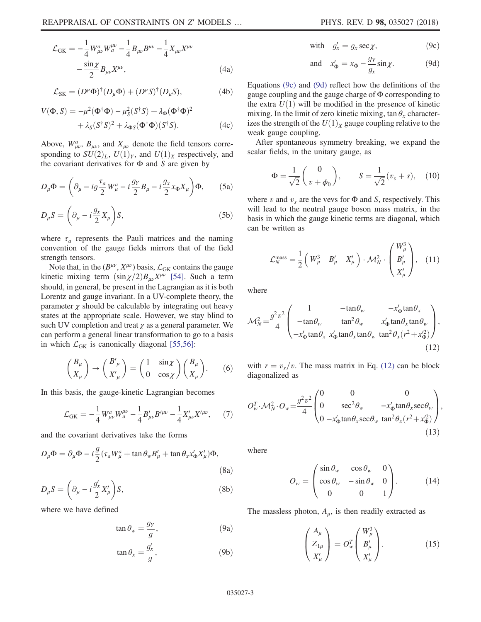$$
\mathcal{L}_{\rm GK} = -\frac{1}{4} W_{\mu\nu}^a W_a^{\mu\nu} - \frac{1}{4} B_{\mu\nu} B^{\mu\nu} - \frac{1}{4} X_{\mu\nu} X^{\mu\nu} - \frac{\sin \chi}{2} B_{\mu\nu} X^{\mu\nu},
$$
\n(4a)

$$
\mathcal{L}_{SK} = (D^{\mu} \Phi)^{\dagger} (D_{\mu} \Phi) + (D^{\mu} S)^{\dagger} (D_{\mu} S), \tag{4b}
$$

$$
V(\Phi, S) = -\mu^2(\Phi^{\dagger}\Phi) - \mu_S^2(S^{\dagger}S) + \lambda_{\Phi}(\Phi^{\dagger}\Phi)^2
$$
  
+  $\lambda_S(S^{\dagger}S)^2 + \lambda_{\Phi S}(\Phi^{\dagger}\Phi)(S^{\dagger}S)$ . (4c)

Above,  $W_{\mu\nu}^a$ ,  $B_{\mu\nu}$ , and  $X_{\mu\nu}$  denote the field tensors corresponding to  $SU(2)_L$ ,  $U(1)_Y$ , and  $U(1)_X$  respectively, and the covariant derivatives for  $\Phi$  and S are given by

$$
D_{\mu}\Phi = \left(\partial_{\mu} - ig\frac{\tau_a}{2}W_{\mu}^a - i\frac{g_Y}{2}B_{\mu} - i\frac{g_X}{2}x_{\Phi}X_{\mu}\right)\Phi, \qquad (5a)
$$

$$
D_{\mu}S = \left(\partial_{\mu} - i\frac{g_x}{2}X_{\mu}\right)S,\tag{5b}
$$

where  $\tau_a$  represents the Pauli matrices and the naming convention of the gauge fields mirrors that of the field strength tensors.

Note that, in the  $(B^{\mu\nu}, X^{\mu\nu})$  basis,  $\mathcal{L}_{\text{GK}}$  contains the gauge kinetic mixing term  $(\sin \chi/2)B_{\mu\nu}X^{\mu\nu}$  [\[54\]](#page-12-5). Such a term should, in general, be present in the Lagrangian as it is both Lorentz and gauge invariant. In a UV-complete theory, the parameter  $\chi$  should be calculable by integrating out heavy states at the appropriate scale. However, we stay blind to such UV completion and treat  $\chi$  as a general parameter. We can perform a general linear transformation to go to a basis in which  $\mathcal{L}_{\text{GK}}$  is canonically diagonal [\[55,56\]:](#page-12-6)

$$
\binom{B_{\mu}}{X_{\mu}} \rightarrow \binom{B'_{\mu}}{X'_{\mu}} = \binom{1 \quad \sin \chi}{0 \quad \cos \chi} \binom{B_{\mu}}{X_{\mu}}. \tag{6}
$$

In this basis, the gauge-kinetic Lagrangian becomes

$$
\mathcal{L}_{\rm GK} = -\frac{1}{4} W^a_{\mu\nu} W^{\mu\nu}_a - \frac{1}{4} B'_{\mu\nu} B'^{\mu\nu} - \frac{1}{4} X'_{\mu\nu} X'^{\mu\nu}, \qquad (7)
$$

and the covariant derivatives take the forms

$$
D_{\mu}\Phi = \partial_{\mu}\Phi - i\frac{g}{2}(\tau_a W^a_{\mu} + \tan \theta_w B'_{\mu} + \tan \theta_x x'_{\Phi} X'_{\mu})\Phi,
$$
\n(8a)

$$
D_{\mu}S = \left(\partial_{\mu} - i\frac{g'_x}{2}X'_{\mu}\right)S,\tag{8b}
$$

<span id="page-2-4"></span>where we have defined

$$
\tan \theta_{w} = \frac{g_Y}{g},\tag{9a}
$$

$$
\tan \theta_x = \frac{g'_x}{g},\tag{9b}
$$

with 
$$
g'_x = g_x \sec \chi
$$
, (9c)

and 
$$
x'_{\Phi} = x_{\Phi} - \frac{g_Y}{g_X} \sin \chi.
$$
 (9d)

<span id="page-2-1"></span><span id="page-2-0"></span>Equations [\(9c\)](#page-2-0) and [\(9d\)](#page-2-1) reflect how the definitions of the gauge coupling and the gauge charge of Φ corresponding to the extra  $U(1)$  will be modified in the presence of kinetic mixing. In the limit of zero kinetic mixing, tan  $\theta_x$  characterizes the strength of the  $U(1)_X$  gauge coupling relative to the weak gauge coupling.

After spontaneous symmetry breaking, we expand the scalar fields, in the unitary gauge, as

$$
\Phi = \frac{1}{\sqrt{2}} \begin{pmatrix} 0 \\ v + \phi_0 \end{pmatrix}, \qquad S = \frac{1}{\sqrt{2}} (v_s + s), \quad (10)
$$

where v and  $v_s$  are the vevs for  $\Phi$  and S, respectively. This will lead to the neutral gauge boson mass matrix, in the basis in which the gauge kinetic terms are diagonal, which can be written as

$$
\mathcal{L}_N^{\text{mass}} = \frac{1}{2} \begin{pmatrix} W_\mu^3 & B_\mu' & X_\mu' \end{pmatrix} \cdot \mathcal{M}_N^2 \cdot \begin{pmatrix} W_\mu^3 \\ B_\mu' \\ X_\mu' \end{pmatrix}, \quad (11)
$$

<span id="page-2-2"></span>where

$$
\mathcal{M}_N^2 = \frac{g^2 v^2}{4} \begin{pmatrix} 1 & -\tan \theta_w & -x'_\Phi \tan \theta_x \\ -\tan \theta_w & \tan^2 \theta_w & x'_\Phi \tan \theta_x \tan \theta_w \\ -x'_\Phi \tan \theta_x & x'_\Phi \tan \theta_x \tan \theta_w & \tan^2 \theta_x (r^2 + x^2_\Phi) \end{pmatrix},
$$
\n(12)

<span id="page-2-3"></span>with  $r = v_s/v$ . The mass matrix in Eq. [\(12\)](#page-2-2) can be block diagonalized as

$$
O_w^T \cdot \mathcal{M}_N^2 \cdot O_w = \frac{g^2 v^2}{4} \begin{pmatrix} 0 & 0 & 0 \\ 0 & \sec^2 \theta_w & -x'_\Phi \tan \theta_x \sec \theta_w \\ 0 & -x'_\Phi \tan \theta_x \sec \theta_w \tan^2 \theta_x (r^2 + x^2_\Phi) \end{pmatrix},
$$
\n(13)

where

$$
O_w = \begin{pmatrix} \sin \theta_w & \cos \theta_w & 0 \\ \cos \theta_w & -\sin \theta_w & 0 \\ 0 & 0 & 1 \end{pmatrix}.
$$
 (14)

The massless photon,  $A_{\mu}$ , is then readily extracted as

$$
\begin{pmatrix} A_{\mu} \\ Z_{1\mu} \\ X_{\mu}' \end{pmatrix} = O_{w}^{T} \begin{pmatrix} W_{\mu}^{3} \\ B_{\mu}' \\ X_{\mu}' \end{pmatrix}.
$$
 (15)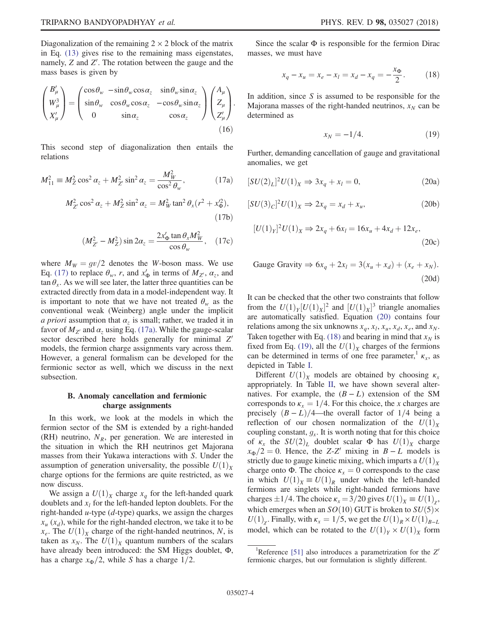Diagonalization of the remaining  $2 \times 2$  block of the matrix in Eq. [\(13\)](#page-2-3) gives rise to the remaining mass eigenstates, namely,  $Z$  and  $Z'$ . The rotation between the gauge and the mass bases is given by

$$
\begin{pmatrix} B'_{\mu} \\ W_{\mu}^3 \\ X'_{\mu} \end{pmatrix} = \begin{pmatrix} \cos \theta_w & -\sin \theta_w \cos \alpha_z & \sin \theta_w \sin \alpha_z \\ \sin \theta_w & \cos \theta_w \cos \alpha_z & -\cos \theta_w \sin \alpha_z \\ 0 & \sin \alpha_z & \cos \alpha_z \end{pmatrix} \begin{pmatrix} A_{\mu} \\ Z_{\mu} \\ Z'_{\mu} \end{pmatrix}.
$$
\n(16)

<span id="page-3-0"></span>This second step of diagonalization then entails the relations

$$
M_{11}^2 \equiv M_Z^2 \cos^2 \alpha_z + M_{Z'}^2 \sin^2 \alpha_z = \frac{M_W^2}{\cos^2 \theta_w},
$$
 (17a)

$$
M_{Z'}^2 \cos^2 \alpha_z + M_Z^2 \sin^2 \alpha_z = M_W^2 \tan^2 \theta_x (r^2 + x_\Phi'^2),
$$
\n(17b)

$$
(M_{Z'}^2 - M_Z^2) \sin 2\alpha_z = \frac{2x_{\Phi}' \tan \theta_x M_W^2}{\cos \theta_w}, \quad (17c)
$$

<span id="page-3-5"></span>where  $M_W = gv/2$  denotes the W-boson mass. We use Eq. [\(17\)](#page-3-0) to replace  $\theta_w$ , r, and  $x'_\Phi$  in terms of  $M_{Z'}$ ,  $\alpha_z$ , and  $\tan \theta_x$ . As we will see later, the latter three quantities can be extracted directly from data in a model-independent way. It is important to note that we have not treated  $\theta_w$  as the conventional weak (Weinberg) angle under the implicit a priori assumption that  $\alpha$ <sub>z</sub> is small; rather, we traded it in favor of  $M_{Z'}$  and  $\alpha_z$  using Eq. [\(17a\).](#page-3-0) While the gauge-scalar sector described here holds generally for minimal  $Z'$ models, the fermion charge assignments vary across them. However, a general formalism can be developed for the fermionic sector as well, which we discuss in the next subsection.

### <span id="page-3-4"></span>B. Anomaly cancellation and fermionic charge assignments

In this work, we look at the models in which the fermion sector of the SM is extended by a right-handed (RH) neutrino,  $N_R$ , per generation. We are interested in the situation in which the RH neutrinos get Majorana masses from their Yukawa interactions with S. Under the assumption of generation universality, the possible  $U(1)_X$ charge options for the fermions are quite restricted, as we now discuss.

We assign a  $U(1)_X$  charge  $x_q$  for the left-handed quark doublets and  $x_l$  for the left-handed lepton doublets. For the right-handed  $u$ -type ( $d$ -type) quarks, we assign the charges  $x<sub>u</sub>$  ( $x<sub>d</sub>$ ), while for the right-handed electron, we take it to be  $x_e$ . The  $U(1)_x$  charge of the right-handed neutrinos, N, is taken as  $x_N$ . The  $U(1)_X$  quantum numbers of the scalars have already been introduced: the SM Higgs doublet, Φ, has a charge  $x_{\Phi}/2$ , while S has a charge 1/2.

<span id="page-3-2"></span>Since the scalar  $\Phi$  is responsible for the fermion Dirac masses, we must have

$$
x_q - x_u = x_e - x_l = x_d - x_q = -\frac{x_{\Phi}}{2}.
$$
 (18)

<span id="page-3-3"></span>In addition, since  $S$  is assumed to be responsible for the Majorana masses of the right-handed neutrinos,  $x_N$  can be determined as

$$
x_N = -1/4. \tag{19}
$$

<span id="page-3-1"></span>Further, demanding cancellation of gauge and gravitational anomalies, we get

$$
[SU(2)L]^{2}U(1)X \Rightarrow 3xq + xl = 0,
$$
 (20a)

$$
[SU(3)_C]^2 U(1)_X \Rightarrow 2x_q = x_d + x_u,
$$
\n(20b)

$$
[U(1)_Y]^2 U(1)_X \Rightarrow 2x_q + 6x_l = 16x_u + 4x_d + 12x_e,
$$
\n(20c)

Gauge Gravity 
$$
\Rightarrow
$$
  $6x_q + 2x_l = 3(x_u + x_d) + (x_e + x_N)$ .  
(20d)

It can be checked that the other two constraints that follow from the  $U(1)_Y[U(1)_X]$ <br>are automatically satisf <sup>2</sup> and  $[U(1)_X]$ <br>fied Fouation  $]^{3}$  triangle anomalies are automatically satisfied. Equation [\(20\)](#page-3-1) contains four relations among the six unknowns  $x_q$ ,  $x_l$ ,  $x_u$ ,  $x_d$ ,  $x_e$ , and  $x_N$ . Taken together with Eq. [\(18\)](#page-3-2) and bearing in mind that  $x_N$  is fixed from Eq. [\(19\),](#page-3-3) all the  $U(1)_X$  charges of the fermions can be determined in terms of one free parameter,  $k_x$ , as depicted in Table [I](#page-4-0).

Different  $U(1)_X$  models are obtained by choosing  $\kappa_X$ appropriately. In Table [II,](#page-4-1) we have shown several alternatives. For example, the  $(B - L)$  extension of the SM corresponds to  $\kappa_x = 1/4$ . For this choice, the x charges are precisely  $(B - L)/4$ —the overall factor of 1/4 being a reflection of our chosen normalization of the  $U(1)_X$ coupling constant,  $g_x$ . It is worth noting that for this choice of  $\kappa_x$  the  $SU(2)_L$  doublet scalar  $\Phi$  has  $U(1)_x$  charge  $x_{\Phi}/2 = 0$ . Hence, the Z-Z' mixing in B – L models is strictly due to gauge kinetic mixing, which imparts a  $U(1)<sub>X</sub>$ charge onto  $\Phi$ . The choice  $\kappa_x = 0$  corresponds to the case in which  $U(1)_X \equiv U(1)_R$  under which the left-handed fermions are singlets while right-handed fermions have charges  $\pm 1/4$ . The choice  $\kappa_x = 3/20$  gives  $U(1)_X \equiv U(1)_Y$ , which emerges when an  $SO(10)$  GUT is broken to  $SU(5)\times$  $U(1)_\gamma$ . Finally, with  $\kappa_x = 1/5$ , we get the  $U(1)_R \times U(1)_{B-L}$ model, which can be rotated to the  $U(1)_Y \times U(1)_X$  form

<sup>&</sup>lt;sup>1</sup>Reference [\[51\]](#page-12-3) also introduces a parametrization for the  $Z'$ fermionic charges, but our formulation is slightly different.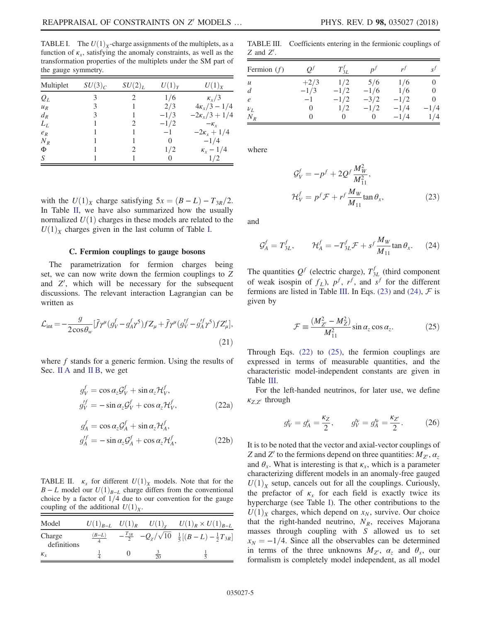<span id="page-4-0"></span>TABLE I. The  $U(1)_X$ -charge assignments of the multiplets, as a function of  $\kappa_{x}$ , satisfying the anomaly constraints, as well as the transformation properties of the multiplets under the SM part of the gauge symmetry.

| Multiplet | $SU(3)_C$ | $SU(2)_L$ | $U(1)_Y$ | $U(1)_Y$               |
|-----------|-----------|-----------|----------|------------------------|
| $Q_L$     | 3         | 2         | 1/6      | $\kappa_r/3$           |
| $u_R$     | 3         |           | 2/3      | $4\kappa_{x}/3 - 1/4$  |
| $d_R$     | 3         |           | $-1/3$   | $-2\kappa_{x}/3 + 1/4$ |
| $L_L$     |           | 2         | $-1/2$   | $-\kappa_r$            |
| $e_R$     |           |           | $-1$     | $-2\kappa_{x} + 1/4$   |
| $N_R$     |           |           | $\theta$ | $-1/4$                 |
| Φ         |           | 2         | 1/2      | $\kappa_{x}$ – 1/4     |
| S         |           |           | $\theta$ | 1/2                    |

with the  $U(1)_X$  charge satisfying  $5x = (B - L) - T_{3R}/2$ . In Table [II](#page-4-1), we have also summarized how the usually normalized  $U(1)$  charges in these models are related to the  $U(1)_X$  charges given in the last column of Table [I](#page-4-0).

#### C. Fermion couplings to gauge bosons

The parametrization for fermion charges being set, we can now write down the fermion couplings to Z and  $Z'$ , which will be necessary for the subsequent discussions. The relevant interaction Lagrangian can be written as

$$
\mathcal{L}_{int} = -\frac{g}{2\cos\theta_w} [\bar{f}\gamma^\mu (g_V^f - g_A^f \gamma^5) f Z_\mu + \bar{f}\gamma^\mu (g_V^{ff} - g_A^{ff} \gamma^5) f Z_\mu'],
$$
\n(21)

<span id="page-4-5"></span>where  $f$  stands for a generic fermion. Using the results of Sec. [II A](#page-1-1) and [II B,](#page-3-4) we get

$$
g_V^f = \cos \alpha_z \mathcal{G}_V^f + \sin \alpha_z \mathcal{H}_V^f,
$$
  
\n
$$
g_V^{\prime f} = -\sin \alpha_z \mathcal{G}_V^f + \cos \alpha_z \mathcal{H}_V^f,
$$
\n(22a)

$$
g_A^f = \cos \alpha_z g_A^f + \sin \alpha_z \mathcal{H}_A^f,
$$
  
\n
$$
g_A^{ff} = -\sin \alpha_z g_A^f + \cos \alpha_z \mathcal{H}_A^f,
$$
\n(22b)

<span id="page-4-1"></span>TABLE II.  $\kappa_x$  for different  $U(1)_x$  models. Note that for the  $B - L$  model our  $U(1)_{B-L}$  charge differs from the conventional choice by a factor of  $1/4$  due to our convention for the gauge coupling of the additional  $U(1)_X$ .

| Model                 |            | $U(1)_{B-L}$ $U(1)_R$ $U(1)_Y$ | $U(1)_R \times U(1)_{B-L}$                                                       |
|-----------------------|------------|--------------------------------|----------------------------------------------------------------------------------|
| Charge<br>definitions | $_{(B-L)}$ |                                | $-\frac{T_{3R}}{2}$ $-Q_{\chi}/\sqrt{10}$ $\frac{1}{5}[(B-L)-\frac{1}{2}T_{3R}]$ |
| $K_{Y}$               |            |                                |                                                                                  |

<span id="page-4-2"></span>TABLE III. Coefficients entering in the fermionic couplings of  $Z$  and  $Z'$ .

| Fermion $(f)$ | O <sup>f</sup>    | $T_{3L}^f$ | $p^{j}$ | $r^{f}$ | $s^f$  |
|---------------|-------------------|------------|---------|---------|--------|
| u             | $+2/3$            | 1/2        | 5/6     | 1/6     |        |
| d             | $-1/3$            | $-1/2$     | $-1/6$  | 1/6     |        |
| e             | $-1$              | $-1/2$     | $-3/2$  | $-1/2$  | 0      |
| $\nu_L$       | $\theta$          | 1/2        | $-1/2$  | $-1/4$  | $-1/4$ |
| $N_{\it R}$   | $\mathbf{\Omega}$ | 0          |         | $-1/4$  | 1/4    |

<span id="page-4-3"></span>where

$$
\mathcal{G}_{V}^{f} = -p^{f} + 2Q^{f} \frac{M_{W}^{2}}{M_{11}^{2}},
$$
  

$$
\mathcal{H}_{V}^{f} = p^{f} \mathcal{F} + r^{f} \frac{M_{W}}{M_{11}} \tan \theta_{x},
$$
 (23)

<span id="page-4-4"></span>and

$$
\mathcal{G}_A^f = T_{3L}^f, \qquad \mathcal{H}_A^f = -T_{3L}^f \mathcal{F} + s^f \frac{M_W}{M_{11}} \tan \theta_x. \tag{24}
$$

<span id="page-4-6"></span>The quantities  $Q^f$  (electric charge),  $T_{3L}^f$  (third component of weak isospin of  $f_L$ ),  $p^f$ ,  $r^f$ , and  $s^f$  for the different fermions are listed in Table [III](#page-4-2). In Eqs. [\(23\)](#page-4-3) and [\(24\),](#page-4-4)  $\mathcal F$  is given by

$$
\mathcal{F} \equiv \frac{(M_{Z'}^2 - M_Z^2)}{M_{11}^2} \sin \alpha_z \cos \alpha_z. \tag{25}
$$

Through Eqs. [\(22\)](#page-4-5) to [\(25\)](#page-4-6), the fermion couplings are expressed in terms of measurable quantities, and the characteristic model-independent constants are given in Table [III.](#page-4-2)

<span id="page-4-7"></span>For the left-handed neutrinos, for later use, we define  $\kappa_{Z,Z'}$  through

$$
g_V^{\nu} = g_A^{\nu} = \frac{\kappa_Z}{2}, \qquad g_V^{\nu} = g_A^{\nu} = \frac{\kappa_{Z'}}{2}.
$$
 (26)

It is to be noted that the vector and axial-vector couplings of Z and Z' to the fermions depend on three quantities:  $M_{Z}$ ,  $\alpha_z$ and  $\theta_x$ . What is interesting is that  $\kappa_x$ , which is a parameter characterizing different models in an anomaly-free gauged  $U(1)_X$  setup, cancels out for all the couplings. Curiously, the prefactor of  $\kappa_{x}$  for each field is exactly twice its hypercharge (see Table [I](#page-4-0)). The other contributions to the  $U(1)_X$  charges, which depend on  $x_N$ , survive. Our choice that the right-handed neutrino,  $N_R$ , receives Majorana masses through coupling with S allowed us to set  $x_N = -1/4$ . Since all the observables can be determined in terms of the three unknowns  $M_{Z}$ ,  $\alpha_z$  and  $\theta_x$ , our formalism is completely model independent, as all model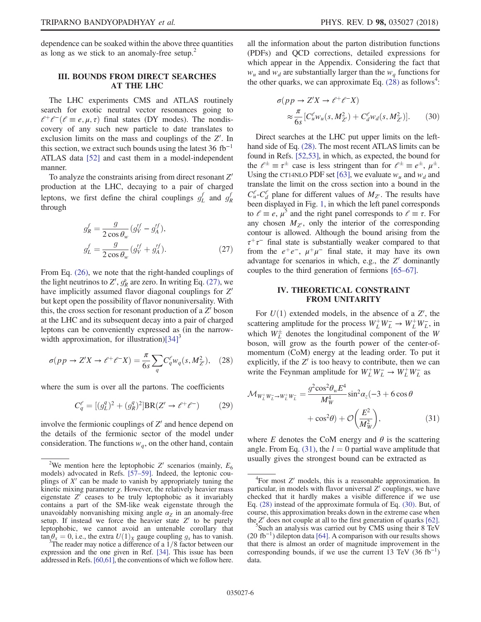dependence can be soaked within the above three quantities as long as we stick to an anomaly-free setup.<sup>2</sup>

# <span id="page-5-0"></span>III. BOUNDS FROM DIRECT SEARCHES AT THE LHC

The LHC experiments CMS and ATLAS routinely search for exotic neutral vector resonances going to  $l^+\ell^-(\ell \equiv e, \mu, \tau)$  final states (DY modes). The nondiscovery of any such new particle to date translates to exclusion limits on the mass and couplings of the  $Z'$ . In this section, we extract such bounds using the latest 36 fb<sup>-1</sup> ATLAS data [\[52\]](#page-12-4) and cast them in a model-independent manner.

<span id="page-5-2"></span>To analyze the constraints arising from direct resonant  $Z'$ production at the LHC, decaying to a pair of charged leptons, we first define the chiral couplings  $g_L^f$  and  $g_R^f$ through

$$
g_R^f = \frac{g}{2\cos\theta_w} (g_V^{ff} - g_A^{ff}),
$$
  
\n
$$
g_L^f = \frac{g}{2\cos\theta_w} (g_V^{ff} + g_A^{ff}).
$$
\n(27)

From Eq. [\(26\)](#page-4-7), we note that the right-handed couplings of the light neutrinos to Z',  $g_R^{\nu}$  are zero. In writing Eq. [\(27\)](#page-5-2), we have implicitly assumed flavor diagonal couplings for  $Z'$ but kept open the possibility of flavor nonuniversality. With this, the cross section for resonant production of a  $Z'$  boson at the LHC and its subsequent decay into a pair of charged leptons can be conveniently expressed as (in the narrowwidth approximation, for illustration) $[34]$ <sup>3</sup>

<span id="page-5-3"></span>
$$
\sigma(pp \to Z'X \to \ell^+ \ell^- X) = \frac{\pi}{6s} \sum_{q} C_q^{\ell} w_q(s, M_{Z'}^2), \quad (28)
$$

<span id="page-5-6"></span>where the sum is over all the partons. The coefficients

$$
C_q^{\ell} = [(g_L^q)^2 + (g_R^q)^2] BR(Z' \to \ell^+ \ell^-) \tag{29}
$$

involve the fermionic couplings of  $Z'$  and hence depend on the details of the fermionic sector of the model under consideration. The functions  $w_q$ , on the other hand, contain <span id="page-5-5"></span>all the information about the parton distribution functions (PDFs) and QCD corrections, detailed expressions for which appear in the Appendix. Considering the fact that  $w_u$  and  $w_d$  are substantially larger than the  $w_q$  functions for the other quarks, we can approximate Eq.  $(28)$  as follows<sup>4</sup>:

$$
\sigma(pp \to Z'X \to \ell^+ \ell^- X)
$$
  
\n
$$
\approx \frac{\pi}{6s} [C_u^{\ell} w_u(s, M_{Z'}^2) + C_d^{\ell} w_d(s, M_{Z'}^2)].
$$
\n(30)

Direct searches at the LHC put upper limits on the lefthand side of Eq. [\(28\).](#page-5-3) The most recent ATLAS limits can be found in Refs. [\[52,53\],](#page-12-4) in which, as expected, the bound for the  $l^{\pm} \equiv \tau^{\pm}$  case is less stringent than for  $l^{\pm} \equiv e^{\pm}$ ,  $\mu^{\pm}$ . Using the CT14NLO PDF set [\[63\],](#page-12-7) we evaluate  $w_u$  and  $w_d$  and translate the limit on the cross section into a bound in the  $C_u^e$ - $C_d^e$  plane for different values of  $M_{Z'}$ . The results have been displayed in Fig. [1,](#page-6-0) in which the left panel corresponds to  $\ell \equiv e, \mu^5$  and the right panel corresponds to  $\ell \equiv \tau$ . For any chosen  $M_{Z'}$ , only the interior of the corresponding contour is allowed. Although the bound arising from the  $\tau^+\tau^-$  final state is substantially weaker compared to that from the  $e^+e^-$ ,  $\mu^+\mu^-$  final state, it may have its own advantage for scenarios in which, e.g., the  $Z'$  dominantly couples to the third generation of fermions [\[65](#page-12-8)–67].

### IV. THEORETICAL CONSTRAINT FROM UNITARITY

<span id="page-5-1"></span>For  $U(1)$  extended models, in the absence of a Z', the attering applitude for the process  $W^+W^- \rightarrow W^+W^-$  in scattering amplitude for the process  $W_L^+ W_L^- \to W_L^+ W_L^-$ , in which  $W_L^{\pm}$  denotes the longitudinal component of the W boson, will grow as the fourth power of the center-ofmomentum (CoM) energy at the leading order. To put it explicitly, if the  $Z'$  is too heavy to contribute, then we can write the Feynman amplitude for  $W_L^+ W_L^- \to W_L^+ W_L^-$  as

<span id="page-5-4"></span>
$$
\mathcal{M}_{W_L^+ W_L^- \to W_L^+ W_L^-} = \frac{g^2 \cos^2 \theta_w E^4}{M_W^4} \sin^2 \alpha_z (-3 + 6 \cos \theta + \cos^2 \theta) + \mathcal{O}\left(\frac{E^2}{M_W^2}\right),
$$
(31)

where E denotes the CoM energy and  $\theta$  is the scattering angle. From Eq. [\(31\),](#page-5-4) the  $l = 0$  partial wave amplitude that usually gives the strongest bound can be extracted as <sup>2</sup>

<sup>&</sup>lt;sup>2</sup>We mention here the leptophobic Z' scenarios (mainly,  $E_6$ ) models) advocated in Refs. [57–[59\].](#page-12-9) Indeed, the leptonic couplings of  $X'$  can be made to vanish by appropriately tuning the kinetic mixing parameter  $\chi$ . However, the relatively heavier mass eigenstate  $Z'$  ceases to be truly leptophobic as it invariably contains a part of the SM-like weak eigenstate through the unavoidably nonvanishing mixing angle  $\alpha_{Z}$  in an anomaly-free setup. If instead we force the heavier state  $Z'$  to be purely leptophobic, we cannot avoid an untenable corollary that  $tan \theta_x = 0$ , i.e., the extra  $U(1)_X$  gauge coupling  $g_x$  has to vanish.

The reader may notice a difference of a 1/8 factor between our expression and the one given in Ref. [\[34\].](#page-11-12) This issue has been addressed in Refs. [\[60,61\],](#page-12-10) the conventions of which we follow here.

<sup>&</sup>lt;sup>4</sup>For most  $Z'$  models, this is a reasonable approximation. In particular, in models with flavor universal  $Z'$  couplings, we have checked that it hardly makes a visible difference if we use Eq. [\(28\)](#page-5-3) instead of the approximate formula of Eq. [\(30\)](#page-5-5). But, of course, this approximation breaks down in the extreme case when the  $Z'$  does not couple at all to the first generation of quarks [\[62\].](#page-12-11)

Such an analysis was carried out by CMS using their 8 TeV  $(20 \text{ fb}^{-1})$  dilepton data [\[64\].](#page-12-12) A comparison with our results shows that there is almost an order of magnitude improvement in the corresponding bounds, if we use the current 13 TeV (36 fb<sup>-1</sup>) data.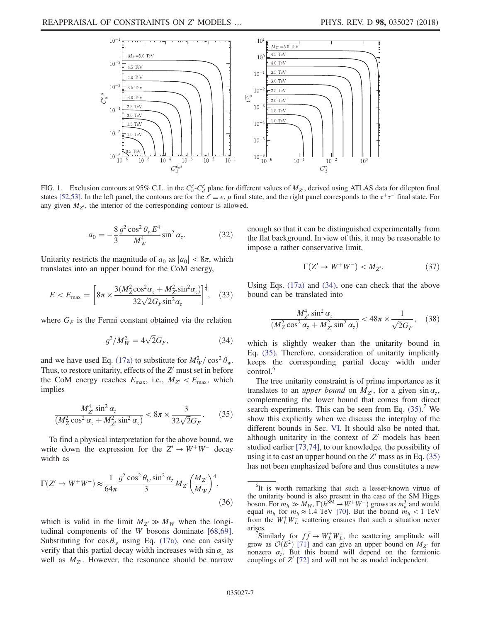<span id="page-6-0"></span>

FIG. 1. Exclusion contours at 95% C.L. in the  $C_u^e$ - $C_d^e$  plane for different values of  $M_{Z'}$ , derived using ATLAS data for dilepton final states [\[52,53\].](#page-12-4) In the left panel, the contours are for the  $\ell \equiv e, \mu$  final state, and the right panel corresponds to the  $\tau^+\tau^-$  final state. For any given  $M_{Z'}$ , the interior of the corresponding contour is allowed.

$$
a_0 = -\frac{8}{3} \frac{g^2 \cos^2 \theta_w E^4}{M_W^4} \sin^2 \alpha_z.
$$
 (32)

Unitarity restricts the magnitude of  $a_0$  as  $|a_0| < 8\pi$ , which translates into an upper bound for the CoM energy,

$$
E < E_{\text{max}} = \left[ 8\pi \times \frac{3(M_Z^2 \cos^2 \alpha_z + M_{Z'}^2 \sin^2 \alpha_z)}{32\sqrt{2}G_F \sin^2 \alpha_z} \right]^{\frac{1}{4}}, \quad (33)
$$

<span id="page-6-1"></span>where  $G_F$  is the Fermi constant obtained via the relation

$$
g^2/M_W^2 = 4\sqrt{2}G_F,
$$
 (34)

<span id="page-6-2"></span>and we have used Eq. [\(17a\)](#page-3-0) to substitute for  $M_W^2 / \cos^2 \theta_w$ . Thus, to restore unitarity, effects of the  $Z<sup>'</sup>$  must set in before the CoM energy reaches  $E_{\text{max}}$ , i.e.,  $M_{Z'} < E_{\text{max}}$ , which implies

$$
\frac{M_{Z'}^4 \sin^2 \alpha_z}{(M_Z^2 \cos^2 \alpha_z + M_{Z'}^2 \sin^2 \alpha_z)} < 8\pi \times \frac{3}{32\sqrt{2}G_F}.\tag{35}
$$

To find a physical interpretation for the above bound, we write down the expression for the  $Z' \rightarrow W^+W^-$  decay width as

$$
\Gamma(Z' \to W^+W^-) \approx \frac{1}{64\pi} \frac{g^2 \cos^2 \theta_w \sin^2 \alpha_z}{3} M_{Z'} \left(\frac{M_{Z'}}{M_W}\right)^4,
$$
\n(36)

which is valid in the limit  $M_{Z'} \gg M_W$  when the longitudinal components of the W bosons dominate [\[68,69\]](#page-12-13). Substituting for  $\cos \theta_w$  using Eq. [\(17a\)](#page-3-0), one can easily verify that this partial decay width increases with  $\sin \alpha_z$  as well as  $M_{Z'}$ . However, the resonance should be narrow

enough so that it can be distinguished experimentally from the flat background. In view of this, it may be reasonable to impose a rather conservative limit,

$$
\Gamma(Z' \to W^+W^-) < M_{Z'}.\tag{37}
$$

Using Eqs. [\(17a\)](#page-3-0) and [\(34\),](#page-6-1) one can check that the above bound can be translated into

$$
\frac{M_{Z'}^4 \sin^2 \alpha_z}{(M_Z^2 \cos^2 \alpha_z + M_{Z'}^2 \sin^2 \alpha_z)} < 48\pi \times \frac{1}{\sqrt{2}G_F},
$$
 (38)

which is slightly weaker than the unitarity bound in Eq. [\(35\)](#page-6-2). Therefore, consideration of unitarity implicitly keeps the corresponding partial decay width under control.<sup>6</sup>

The tree unitarity constraint is of prime importance as it translates to an *upper bound* on  $M_{Z}$ , for a given sin  $\alpha_z$ , complementing the lower bound that comes from direct search experiments. This can be seen from Eq.  $(35)$ .<sup>7</sup> We show this explicitly when we discuss the interplay of the different bounds in Sec. [VI](#page-7-1). It should also be noted that, although unitarity in the context of  $Z'$  models has been studied earlier [\[73,74\],](#page-12-14) to our knowledge, the possibility of using it to cast an upper bound on the  $Z'$  mass as in Eq. [\(35\)](#page-6-2) has not been emphasized before and thus constitutes a new

<sup>&</sup>lt;sup>6</sup>It is worth remarking that such a lesser-known virtue of the unitarity bound is also present in the case of the SM Higgs boson. For  $m_h \gg M_W$ ,  $\Gamma(h^{\text{SM}} \to W^+W^-)$  grows as  $m_h^3$  and would equal  $m_h$ , for  $m_h \approx 1.4$  TeV [70]. But the bound  $m_h \lt 1$  TeV equal  $m_h$  for  $m_h \approx 1.4$  TeV [\[70\].](#page-12-15) But the bound  $m_h < 1$  TeV from the  $W^+ L W^-$  scattering ensures that such a situation never arises. <sup>7</sup>

Similarly for  $f\bar{f} \to W_L^+W_L^-$ , the scattering amplitude will grow as  $\mathcal{O}(E^2)$  [\[71\]](#page-12-16) and can give an upper bound on  $M_{Z'}$  for nonzero  $\alpha_z$ . But this bound will depend on the fermionic couplings of  $Z<sup>'</sup>$  [\[72\]](#page-12-17) and will not be as model independent.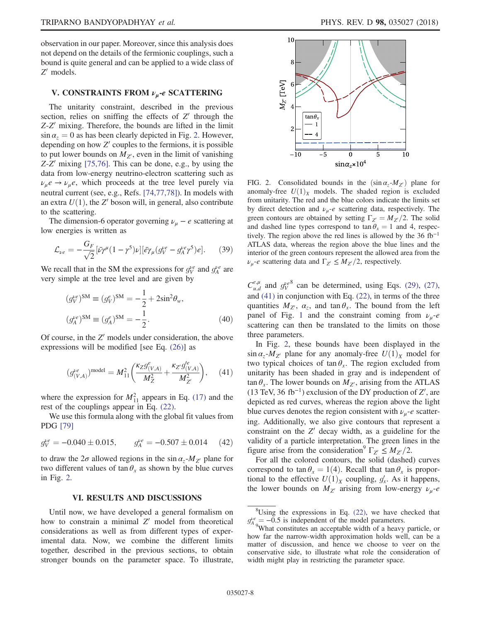observation in our paper. Moreover, since this analysis does not depend on the details of the fermionic couplings, such a bound is quite general and can be applied to a wide class of  $Z'$  models.

#### <span id="page-7-0"></span>V. CONSTRAINTS FROM  $\nu_u$ -e SCATTERING

The unitarity constraint, described in the previous section, relies on sniffing the effects of  $Z'$  through the  $Z-Z'$  mixing. Therefore, the bounds are lifted in the limit  $\sin \alpha_z = 0$  as has been clearly depicted in Fig. [2.](#page-7-2) However, depending on how  $Z'$  couples to the fermions, it is possible to put lower bounds on  $M_{Z}$ , even in the limit of vanishing  $Z-Z'$  mixing [\[75,76\].](#page-12-18) This can be done, e.g., by using the data from low-energy neutrino-electron scattering such as  $\nu_{\mu}e \rightarrow \nu_{\mu}e$ , which proceeds at the tree level purely via neutral current (see, e.g., Refs. [\[74,77,78\]\)](#page-12-19). In models with an extra  $U(1)$ , the Z' boson will, in general, also contribute to the scattering.

The dimension-6 operator governing  $\nu_{\mu} - e$  scattering at low energies is written as

$$
\mathcal{L}_{\nu e} = -\frac{G_F}{\sqrt{2}} [\bar{\nu} \gamma^{\mu} (1 - \gamma^5) \nu] [\bar{e} \gamma_{\mu} (g_V^{\nu e} - g_A^{\nu e} \gamma^5) e]. \tag{39}
$$

We recall that in the SM the expressions for  $g_V^{\nu e}$  and  $g_A^{\nu e}$  are very simple at the tree level and are given by

$$
(g_V^{\nu e})^{SM} \equiv (g_V^e)^{SM} = -\frac{1}{2} + 2\sin^2\theta_w,
$$
  

$$
(g_A^{\nu e})^{SM} \equiv (g_A^e)^{SM} = -\frac{1}{2}.
$$
 (40)

<span id="page-7-3"></span>Of course, in the  $Z<sup>'</sup>$  models under consideration, the above expressions will be modified [see Eq. [\(26\)\]](#page-4-7) as

$$
(g_{(V,A)}^{\nu e})^{\text{model}} = M_{11}^2 \left( \frac{\kappa_Z g_{(V,A)}^e}{M_Z^2} + \frac{\kappa_{Z'} g_{(V,A)}^{\prime e}}{M_{Z'}^2} \right), \quad (41)
$$

where the expression for  $M_{11}^2$  appears in Eq. [\(17\)](#page-3-0) and the rest of the couplings appear in Eq. [\(22\)](#page-4-5).

We use this formula along with the global fit values from PDG [\[79\]](#page-12-20)

$$
g_V^{\nu e} = -0.040 \pm 0.015, \qquad g_A^{\nu e} = -0.507 \pm 0.014 \tag{42}
$$

to draw the  $2\sigma$  allowed regions in the sin  $\alpha_z$ - $M_{Z'}$  plane for two different values of  $\tan \theta_x$  as shown by the blue curves in Fig. [2](#page-7-2).

#### VI. RESULTS AND DISCUSSIONS

<span id="page-7-1"></span>Until now, we have developed a general formalism on how to constrain a minimal  $Z'$  model from theoretical considerations as well as from different types of experimental data. Now, we combine the different limits together, described in the previous sections, to obtain stronger bounds on the parameter space. To illustrate,

<span id="page-7-2"></span>

FIG. 2. Consolidated bounds in the  $(\sin \alpha_z - M_{Z\ell})$  plane for anomaly-free  $U(1)_X$  models. The shaded region is excluded from unitarity. The red and the blue colors indicate the limits set by direct detection and  $\nu_u$ -e scattering data, respectively. The green contours are obtained by setting  $\Gamma_{Z} = M_{Z}/2$ . The solid and dashed line types correspond to  $\tan \theta_x = 1$  and 4, respectively. The region above the red lines is allowed by the 36 fb<sup>-1</sup> ATLAS data, whereas the region above the blue lines and the interior of the green contours represent the allowed area from the  $\nu_{\mu}$ -e scattering data and  $\Gamma_{Z'} \leq M_{Z'}/2$ , respectively.

 $C_{u,d}^{e,\mu}$  and  $g_V^{ve^8}$  can be determined, using Eqs. [\(29\),](#page-5-6) [\(27\)](#page-5-2), and [\(41\)](#page-7-3) in conjunction with Eq. [\(22\),](#page-4-5) in terms of the three quantities  $M_{Z}$ ,  $\alpha_z$ , and tan  $\theta_x$ . The bound from the left panel of Fig. [1](#page-6-0) and the constraint coming from  $\nu_u$ -e scattering can then be translated to the limits on those three parameters.

In Fig. [2](#page-7-2), these bounds have been displayed in the  $\sin \alpha_z$ - $M_{Z'}$  plane for any anomaly-free  $U(1)_X$  model for two typical choices of  $\tan \theta_x$ . The region excluded from unitarity has been shaded in gray and is independent of  $\tan \theta_x$ . The lower bounds on  $M_{Z}$ , arising from the ATLAS (13 TeV, 36 fb<sup>-1</sup>) exclusion of the DY production of Z', are depicted as red curves, whereas the region above the light blue curves denotes the region consistent with  $\nu_u$ -e scattering. Additionally, we also give contours that represent a constraint on the  $Z'$  decay width, as a guideline for the validity of a particle interpretation. The green lines in the figure arise from the consideration<sup>9</sup>  $\Gamma_{Z} \leq M_{Z'}/2$ .

For all the colored contours, the solid (dashed) curves correspond to tan  $\theta_x = 1/4$ . Recall that tan  $\theta_x$  is proportional to the effective  $U(1)_X$  coupling,  $g'_x$ . As it happens,<br>the lower bounds on  $M_{\alpha}$  arising from low-energy  $\nu = e$ the lower bounds on  $M_{Z'}$  arising from low-energy  $\nu_{\mu}$ -e

 $8^8$ Using the expressions in Eq. [\(22\),](#page-4-5) we have checked that  $g_A^{\nu e} = -0.5$  is independent of the model parameters.<br>What constitutes an acceptable width of a heavy particle, or

how far the narrow-width approximation holds well, can be a matter of discussion, and hence we choose to veer on the conservative side, to illustrate what role the consideration of width might play in restricting the parameter space.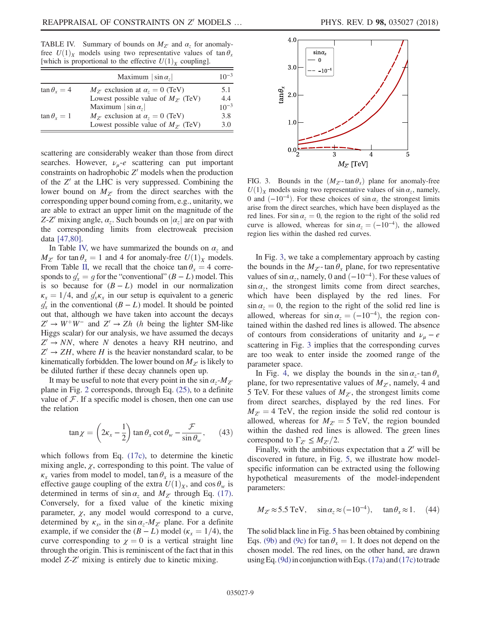<span id="page-8-0"></span>TABLE IV. Summary of bounds on  $M_{Z'}$  and  $\alpha_z$  for anomalyfree  $U(1)_x$  models using two representative values of tan  $\theta_x$ [which is proportional to the effective  $U(1)_x$  coupling].

|                     | Maximum $ \sin \alpha_{7} $                | $10^{-3}$ |
|---------------------|--------------------------------------------|-----------|
| $\tan \theta_r = 4$ | $M_{Z'}$ exclusion at $\alpha_z = 0$ (TeV) | 5.1       |
|                     | Lowest possible value of $M_{Z'}$ (TeV)    | 4.4       |
|                     | Maximum $ \sin \alpha_z $                  | $10^{-3}$ |
| $\tan \theta_r = 1$ | $M_{Z'}$ exclusion at $\alpha_z = 0$ (TeV) | 3.8       |
|                     | Lowest possible value of $M_{Z'}$ (TeV)    | 3.0       |

scattering are considerably weaker than those from direct searches. However,  $\nu_u$ -e scattering can put important constraints on hadrophobic  $Z'$  models when the production of the  $Z<sup>1</sup>$  at the LHC is very suppressed. Combining the lower bound on  $M_{Z}$  from the direct searches with the corresponding upper bound coming from, e.g., unitarity, we are able to extract an upper limit on the magnitude of the Z-Z' mixing angle,  $\alpha_z$ . Such bounds on  $|\alpha_z|$  are on par with the corresponding limits from electroweak precision data [\[47,80\]](#page-12-1).

In Table [IV,](#page-8-0) we have summarized the bounds on  $\alpha_z$  and  $M_{Z'}$  for tan  $\theta_x = 1$  and 4 for anomaly-free  $U(1)_X$  models. From Table [II](#page-4-1), we recall that the choice  $\tan \theta_x = 4$  corresponds to  $g'_x = g$  for the "conventional"  $(B - L)$  model. This is so because for  $(B - L)$  model in our normalization  $\kappa_x = 1/4$ , and  $g'_x \kappa_x$  in our setup is equivalent to a generic  $g'$  in the conventional  $(B - I)$  model. It should be pointed  $g'_x$  in the conventional  $(B - L)$  model. It should be pointed out that, although we have taken into account the decays  $Z' \rightarrow W^+W^-$  and  $Z' \rightarrow Zh$  (h being the lighter SM-like Higgs scalar) for our analysis, we have assumed the decays  $Z' \rightarrow NN$ , where N denotes a heavy RH neutrino, and  $Z' \rightarrow ZH$ , where H is the heavier nonstandard scalar, to be kinematically forbidden. The lower bound on  $M_{Z}$  is likely to be diluted further if these decay channels open up.

<span id="page-8-2"></span>It may be useful to note that every point in the sin  $\alpha_z$ - $M_{Z}$ plane in Fig. [2](#page-7-2) corresponds, through Eq. [\(25\),](#page-4-6) to a definite value of  $F$ . If a specific model is chosen, then one can use the relation

$$
\tan \chi = \left(2\kappa_x - \frac{1}{2}\right) \tan \theta_x \cot \theta_w - \frac{\mathcal{F}}{\sin \theta_w},\qquad(43)
$$

which follows from Eq. [\(17c\)](#page-3-5), to determine the kinetic mixing angle,  $\chi$ , corresponding to this point. The value of  $\kappa_x$  varies from model to model,  $\tan \theta_x$  is a measure of the effective gauge coupling of the extra  $U(1)_x$ , and cos  $\theta_w$  is determined in terms of  $\sin \alpha_z$  and  $M_{Z'}$  through Eq. [\(17\)](#page-3-0). Conversely, for a fixed value of the kinetic mixing parameter,  $\chi$ , any model would correspond to a curve, determined by  $\kappa_x$ , in the sin  $\alpha_z$ - $M_{Z}$  plane. For a definite example, if we consider the  $(B - L)$  model  $(\kappa_x = 1/4)$ , the curve corresponding to  $\chi = 0$  is a vertical straight line through the origin. This is reminiscent of the fact that in this model  $Z-Z'$  mixing is entirely due to kinetic mixing.

<span id="page-8-1"></span>

FIG. 3. Bounds in the  $(M_{Z} - \tan \theta_x)$  plane for anomaly-free  $U(1)_X$  models using two representative values of sin  $\alpha_z$ , namely, 0 and  $(-10^{-4})$ . For these choices of sin  $\alpha_z$  the strongest limits arise from the direct searches, which have been displayed as the red lines. For  $\sin \alpha_z = 0$ , the region to the right of the solid red curve is allowed, whereas for  $\sin \alpha_z = (-10^{-4})$ , the allowed region lies within the dashed red curves.

In Fig. [3](#page-8-1), we take a complementary approach by casting the bounds in the  $M_{Z'}$ - tan  $\theta_x$  plane, for two representative values of sin  $\alpha_z$ , namely, 0 and  $(-10^{-4})$ . For these values of  $\sin \alpha_z$ , the strongest limits come from direct searches, which have been displayed by the red lines. For  $\sin \alpha_z = 0$ , the region to the right of the solid red line is allowed, whereas for  $\sin \alpha_z = (-10^{-4})$ , the region contained within the dashed red lines is allowed. The absence of contours from considerations of unitarity and  $\nu_{\mu} - e$ scattering in Fig. [3](#page-8-1) implies that the corresponding curves are too weak to enter inside the zoomed range of the parameter space.

In Fig. [4,](#page-9-0) we display the bounds in the sin  $\alpha_z$ -tan  $\theta_x$ plane, for two representative values of  $M_{Z}$ , namely, 4 and 5 TeV. For these values of  $M_{Z}$ , the strongest limits come from direct searches, displayed by the red lines. For  $M_{Z'} = 4$  TeV, the region inside the solid red contour is allowed, whereas for  $M_{Z'} = 5$  TeV, the region bounded within the dashed red lines is allowed. The green lines correspond to  $\Gamma_{Z'} \leq M_{Z'}/2$ .

Finally, with the ambitious expectation that a  $Z'$  will be discovered in future, in Fig. [5,](#page-9-1) we illustrate how modelspecific information can be extracted using the following hypothetical measurements of the model-independent parameters:

$$
M_{Z'} \approx 5.5 \text{ TeV}, \quad \sin \alpha_z \approx (-10^{-4}), \quad \tan \theta_x \approx 1. \quad (44)
$$

The solid black line in Fig. [5](#page-9-1) has been obtained by combining Eqs. [\(9b\)](#page-2-4) and [\(9c\)](#page-2-0) for tan  $\theta_x = 1$ . It does not depend on the chosen model. The red lines, on the other hand, are drawn using Eq. [\(9d\)](#page-2-1) in conjunction with Eqs.  $(17a)$  and  $(17c)$  to trade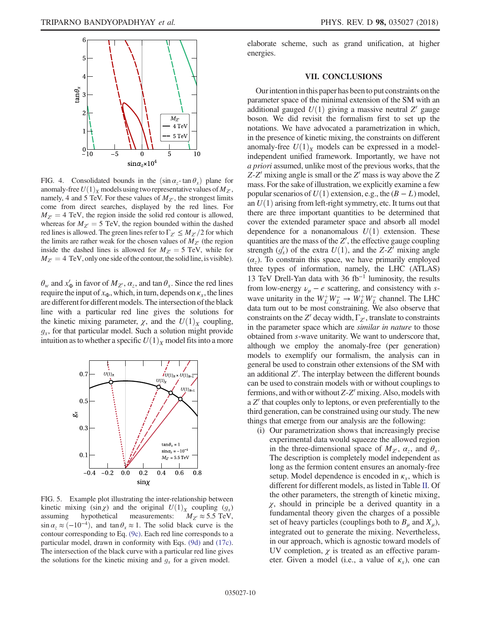<span id="page-9-0"></span>

FIG. 4. Consolidated bounds in the  $(\sin \alpha_z - \tan \theta_x)$  plane for anomaly-free  $U(1)_X$  models using two representative values of  $M_{Z'}$ , namely, 4 and 5 TeV. For these values of  $M_{Z'}$ , the strongest limits come from direct searches, displayed by the red lines. For  $M_{Z'} = 4$  TeV, the region inside the solid red contour is allowed, whereas for  $M_{Z'} = 5$  TeV, the region bounded within the dashed red lines is allowed. The green lines refer to  $\Gamma_{Z'} \leq M_{Z'}/2$  for which the limits are rather weak for the chosen values of  $M_{Z}$ <sup> $\prime$ </sup> (the region inside the dashed lines is allowed for  $M_{Z'} = 5$  TeV, while for  $M_{Z'} = 4$  TeV, only one side of the contour, the solid line, is visible).

 $\theta_w$  and  $x'_\Phi$  in favor of  $M_{Z'}$ ,  $\alpha_z$ , and tan  $\theta_x$ . Since the red lines require the input of  $x_{\Phi}$ , which, in turn, depends on  $\kappa_x$ , the lines are different for different models. The intersection of the black line with a particular red line gives the solutions for the kinetic mixing parameter,  $\chi$ , and the  $U(1)_X$  coupling,  $g_x$ , for that particular model. Such a solution might provide intuition as to whether a specific  $U(1)_X$  model fits into a more

<span id="page-9-1"></span>

FIG. 5. Example plot illustrating the inter-relationship between kinetic mixing  $(\sin \chi)$  and the original  $U(1)_X$  coupling  $(g_x)$  assuming hypothetical measurements:  $M_{Z'} \approx 5.5$  TeV,  $M_{Z'} \approx 5.5$  TeV,  $\sin \alpha_z \approx (-10^{-4})$ , and  $\tan \theta_x \approx 1$ . The solid black curve is the contour corresponding to Eq. [\(9c\)](#page-2-0). Each red line corresponds to a particular model, drawn in conformity with Eqs. [\(9d\)](#page-2-1) and [\(17c\).](#page-3-5) The intersection of the black curve with a particular red line gives the solutions for the kinetic mixing and  $g_x$  for a given model.

elaborate scheme, such as grand unification, at higher energies.

# VII. CONCLUSIONS

Ourintention in this paper has been to put constraints onthe parameter space of the minimal extension of the SM with an additional gauged  $U(1)$  giving a massive neutral Z' gauge boson. We did revisit the formalism first to set up the notations. We have advocated a parametrization in which, in the presence of kinetic mixing, the constraints on different anomaly-free  $U(1)_X$  models can be expressed in a modelindependent unified framework. Importantly, we have not a priori assumed, unlike most of the previous works, that the  $Z-Z'$  mixing angle is small or the  $Z'$  mass is way above the Z mass. For the sake of illustration, we explicitly examine a few popular scenarios of  $U(1)$  extension, e.g., the  $(B - L)$  model, an  $U(1)$  arising from left-right symmetry, etc. It turns out that there are three important quantities to be determined that cover the extended parameter space and absorb all model dependence for a nonanomalous  $U(1)$  extension. These quantities are the mass of the  $Z'$ , the effective gauge coupling strength  $(g'_x)$  of the extra  $U(1)$ , and the Z-Z' mixing angle  $(g)$ . To constrain this space, we have primarily employed  $(\alpha_z)$ . To constrain this space, we have primarily employed three types of information, namely, the LHC (ATLAS) 13 TeV Drell-Yan data with 36 fb<sup>−</sup><sup>1</sup> luminosity, the results from low-energy  $\nu_{\mu} - e$  scattering, and consistency with swave unitarity in the  $W_L^+ W_L^- \to W_L^+ W_L^-$  channel. The LHC data turn out to be most constraining. We also observe that constraints on the Z' decay width,  $\Gamma_{Z}$ ', translate to constraints in the parameter space which are similar in nature to those obtained from s-wave unitarity. We want to underscore that, although we employ the anomaly-free (per generation) models to exemplify our formalism, the analysis can in general be used to constrain other extensions of the SM with an additional  $Z'$ . The interplay between the different bounds can be used to constrain models with or without couplings to fermions, and with or without  $Z-Z'$  mixing. Also, models with  $a Z<sup>′</sup>$  that couples only to leptons, or even preferentially to the third generation, can be constrained using our study. The new things that emerge from our analysis are the following:

(i) Our parametrization shows that increasingly precise experimental data would squeeze the allowed region in the three-dimensional space of  $M_{Z'}$ ,  $\alpha_z$ , and  $\theta_x$ . The description is completely model independent as long as the fermion content ensures an anomaly-free setup. Model dependence is encoded in  $\kappa_{x}$ , which is different for different models, as listed in Table [II](#page-4-1). Of the other parameters, the strength of kinetic mixing,  $\chi$ , should in principle be a derived quantity in a fundamental theory given the charges of a possible set of heavy particles (couplings both to  $B_u$  and  $X_u$ ), integrated out to generate the mixing. Nevertheless, in our approach, which is agnostic toward models of UV completion,  $\chi$  is treated as an effective parameter. Given a model (i.e., a value of  $\kappa_x$ ), one can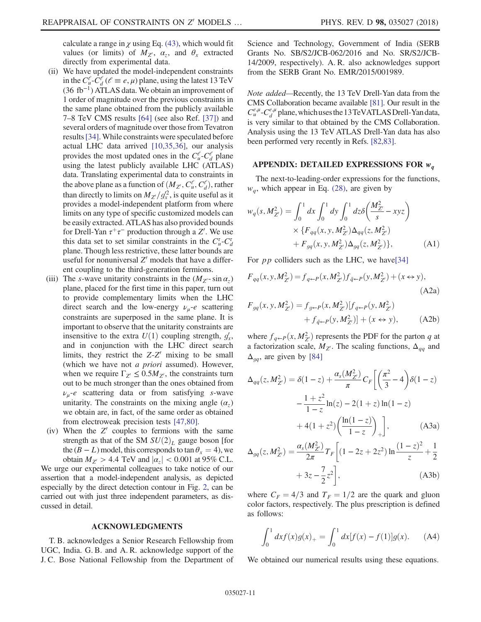calculate a range in  $\chi$  using Eq. [\(43\)](#page-8-2), which would fit values (or limits) of  $M_{Z'}$ ,  $\alpha_z$ , and  $\theta_x$  extracted directly from experimental data.

- (ii) We have updated the model-independent constraints in the  $C_u^{\ell}$ - $C_d^{\ell}$  ( $\ell \equiv e, \mu$ ) plane, using the latest 13 TeV  $(36 fb<sup>-1</sup>)$  ATLAS data. We obtain an improvement of 1 order of magnitude over the previous constraints in the same plane obtained from the publicly available 7–8 TeV CMS results [\[64\]](#page-12-12) (see also Ref. [\[37\]](#page-11-13)) and several orders of magnitude over those from Tevatron results[\[34\].](#page-11-12)While constraints were speculated before actual LHC data arrived [\[10,35,36\],](#page-11-10) our analysis provides the most updated ones in the  $C_u^{\ell}$ - $C_d^{\ell}$  plane using the latest publicly available LHC (ATLAS) data. Translating experimental data to constraints in the above plane as a function of  $(M_{Z'}, C_u^{\ell}, C_d^{\ell})$ , rather<br>than directly to limits on  $M_{\tau}/d^2$  is quite useful as it than directly to limits on  $M_{Z'}/g_x^2$ , is quite useful as it provides a model-independent platform from where limits on any type of specific customized models can be easily extracted. ATLAS has also provided bounds for Drell-Yan  $\tau^+\tau^-$  production through a Z'. We use this data set to set similar constraints in the  $C_u^{\tau} - C_d^{\tau}$ plane. Though less restrictive, these latter bounds are useful for nonuniversal  $Z'$  models that have a different coupling to the third-generation fermions.
- (iii) The s-wave unitarity constraints in the  $(M_{Z} \sin \alpha_z)$ plane, placed for the first time in this paper, turn out to provide complementary limits when the LHC direct search and the low-energy  $\nu_u$ -e scattering constraints are superposed in the same plane. It is important to observe that the unitarity constraints are insensitive to the extra  $U(1)$  coupling strength,  $g'_x$ , and in conjunction with the LHC direct search and in conjunction with the LHC direct search limits, they restrict the  $Z-Z'$  mixing to be small (which we have not a priori assumed). However, when we require  $\Gamma_{Z'} \leq 0.5 M_{Z'}$ , the constraints turn out to be much stronger than the ones obtained from  $\nu_{\mu}$ -e scattering data or from satisfying s-wave unitarity. The constraints on the mixing angle  $(\alpha_z)$ we obtain are, in fact, of the same order as obtained from electroweak precision tests [\[47,80\]](#page-12-1).
- (iv) When the  $Z<sup>'</sup>$  couples to fermions with the same strength as that of the SM  $SU(2)_L$  gauge boson [for the  $(B - L)$  model, this corresponds to tan  $\theta_x = 4$ ), we obtain  $M_{Z'} > 4.4$  TeV and  $|\alpha_z| < 0.001$  at 95% C.L.

We urge our experimental colleagues to take notice of our assertion that a model-independent analysis, as depicted especially by the direct detection contour in Fig. [2,](#page-7-2) can be carried out with just three independent parameters, as discussed in detail.

### ACKNOWLEDGMENTS

T. B. acknowledges a Senior Research Fellowship from UGC, India. G. B. and A. R. acknowledge support of the J. C. Bose National Fellowship from the Department of Science and Technology, Government of India (SERB Grants No. SB/S2/JCB-062/2016 and No. SR/S2/JCB-14/2009, respectively). A. R. also acknowledges support from the SERB Grant No. EMR/2015/001989.

Note added—Recently, the 13 TeV Drell-Yan data from the CMS Collaboration became available [\[81\].](#page-12-21) Our result in the  $C^{\varepsilon,\mu}_{\mu}$ - $C^{\varepsilon,\mu}_{d}$  plane, which uses the 13 TeVATLAS Drell-Yan data, is very similar to that obtained by the CMS Collaboration. Analysis using the 13 TeV ATLAS Drell-Yan data has also been performed very recently in Refs. [\[82,83\].](#page-13-0)

#### APPENDIX: DETAILED EXPRESSIONS FOR  $w_q$

The next-to-leading-order expressions for the functions,  $w_q$ , which appear in Eq. [\(28\)](#page-5-3), are given by

$$
w_q(s, M_{Z'}^2) = \int_0^1 dx \int_0^1 dy \int_0^1 dz \delta\left(\frac{M_{Z'}^2}{s} - xyz\right)
$$
  
 
$$
\times \{F_{qq}(x, y, M_{Z'}^2) \Delta_{qq}(z, M_{Z'}^2) + F_{gq}(x, y, M_{Z'}^2) \Delta_{gq}(z, M_{Z'}^2)\},
$$
 (A1)

For  $pp$  colliders such as the LHC, we have [\[34\]](#page-11-12)

$$
F_{qq}(x, y, M_{Z'}^2) = f_{q \leftarrow P}(x, M_{Z'}^2) f_{\bar{q} \leftarrow P}(y, M_{Z'}^2) + (x \leftrightarrow y),
$$
\n(A2a)

$$
F_{gq}(x, y, M_{Z'}^2) = f_{g \leftarrow P}(x, M_{Z'}^2) [f_{q \leftarrow P}(y, M_{Z'}^2) + f_{\bar{q} \leftarrow P}(y, M_{Z'}^2)] + (x \leftrightarrow y),
$$
 (A2b)

where  $f_{q \leftarrow P}(x, M_{Z'}^2)$  represents the PDF for the parton q at a factorization scale  $M_{\odot}$ . The scaling functions  $\Delta$  and a factorization scale,  $M_{Z'}$ . The scaling functions,  $\Delta_{qq}$  and  $\Delta_{qq}$ , are given by [\[84\]](#page-13-1)

$$
\Delta_{qq}(z, M_{Z'}^2) = \delta(1-z) + \frac{\alpha_s(M_{Z'}^2)}{\pi} C_F \left[ \left( \frac{\pi^2}{3} - 4 \right) \delta(1-z) - \frac{1+z^2}{1-z} \ln(z) - 2(1+z) \ln(1-z) + 4(1+z^2) \left( \frac{\ln(1-z)}{1-z} \right)_+ \right],
$$
\n(A3a)

$$
\Delta_{gq}(z, M_{Z'}^2) = \frac{\alpha_s(M_{Z'}^2)}{2\pi} T_F \left[ (1 - 2z + 2z^2) \ln \frac{(1 - z)^2}{z} + \frac{1}{2} + 3z - \frac{7}{2}z^2 \right],
$$
\n(A3b)

where  $C_F = 4/3$  and  $T_F = 1/2$  are the quark and gluon color factors, respectively. The plus prescription is defined as follows:

$$
\int_0^1 dx f(x)g(x)_+ = \int_0^1 dx [f(x) - f(1)]g(x). \tag{A4}
$$

We obtained our numerical results using these equations.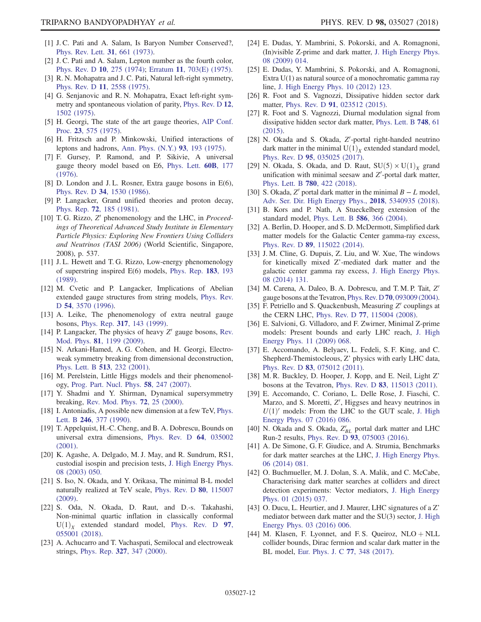- <span id="page-11-0"></span>[1] J.C. Pati and A. Salam, Is Baryon Number Conserved?, [Phys. Rev. Lett.](https://doi.org/10.1103/PhysRevLett.31.661) 31, 661 (1973).
- [2] J. C. Pati and A. Salam, Lepton number as the fourth color, [Phys. Rev. D](https://doi.org/10.1103/PhysRevD.10.275) 10, 275 (1974); Erratum 11[, 703\(E\) \(1975\)](https://doi.org/10.1103/PhysRevD.11.703.2).
- [3] R. N. Mohapatra and J. C. Pati, Natural left-right symmetry, Phys. Rev. D 11[, 2558 \(1975\).](https://doi.org/10.1103/PhysRevD.11.2558)
- [4] G. Senjanovic and R. N. Mohapatra, Exact left-right symmetry and spontaneous violation of parity, [Phys. Rev. D](https://doi.org/10.1103/PhysRevD.12.1502) 12, [1502 \(1975\)](https://doi.org/10.1103/PhysRevD.12.1502).
- [5] H. Georgi, The state of the art gauge theories, [AIP Conf.](https://doi.org/10.1063/1.2947450) Proc. 23[, 575 \(1975\).](https://doi.org/10.1063/1.2947450)
- [6] H. Fritzsch and P. Minkowski, Unified interactions of leptons and hadrons, [Ann. Phys. \(N.Y.\)](https://doi.org/10.1016/0003-4916(75)90211-0) 93, 193 (1975).
- [7] F. Gursey, P. Ramond, and P. Sikivie, A universal gauge theory model based on E6, [Phys. Lett.](https://doi.org/10.1016/0370-2693(76)90417-2) 60B, 177 [\(1976\).](https://doi.org/10.1016/0370-2693(76)90417-2)
- [8] D. London and J. L. Rosner, Extra gauge bosons in E(6), Phys. Rev. D 34[, 1530 \(1986\).](https://doi.org/10.1103/PhysRevD.34.1530)
- [9] P. Langacker, Grand unified theories and proton decay, Phys. Rep. 72[, 185 \(1981\).](https://doi.org/10.1016/0370-1573(81)90059-4)
- <span id="page-11-10"></span>[10] T. G. Rizzo,  $Z'$  phenomenology and the LHC, in *Proceed*ings of Theoretical Advanced Study Institute in Elementary Particle Physics: Exploring New Frontiers Using Colliders and Neutrinos (TASI 2006) (World Scientific, Singapore, 2008), p. 537.
- [11] J.L. Hewett and T.G. Rizzo, Low-energy phenomenology of superstring inspired E(6) models, [Phys. Rep.](https://doi.org/10.1016/0370-1573(89)90071-9) 183, 193 [\(1989\).](https://doi.org/10.1016/0370-1573(89)90071-9)
- [12] M. Cvetic and P. Langacker, Implications of Abelian extended gauge structures from string models, [Phys. Rev.](https://doi.org/10.1103/PhysRevD.54.3570) D **54**[, 3570 \(1996\).](https://doi.org/10.1103/PhysRevD.54.3570)
- [13] A. Leike, The phenomenology of extra neutral gauge bosons, Phys. Rep. 317[, 143 \(1999\).](https://doi.org/10.1016/S0370-1573(98)00133-1)
- [14] P. Langacker, The physics of heavy  $Z'$  gauge bosons, [Rev.](https://doi.org/10.1103/RevModPhys.81.1199) Mod. Phys. 81[, 1199 \(2009\)](https://doi.org/10.1103/RevModPhys.81.1199).
- <span id="page-11-1"></span>[15] N. Arkani-Hamed, A. G. Cohen, and H. Georgi, Electroweak symmetry breaking from dimensional deconstruction, [Phys. Lett. B](https://doi.org/10.1016/S0370-2693(01)00741-9) 513, 232 (2001).
- [16] M. Perelstein, Little Higgs models and their phenomenology, [Prog. Part. Nucl. Phys.](https://doi.org/10.1016/j.ppnp.2006.04.001) 58, 247 (2007).
- <span id="page-11-2"></span>[17] Y. Shadmi and Y. Shirman, Dynamical supersymmetry breaking, [Rev. Mod. Phys.](https://doi.org/10.1103/RevModPhys.72.25) 72, 25 (2000).
- <span id="page-11-3"></span>[18] I. Antoniadis, A possible new dimension at a few TeV, [Phys.](https://doi.org/10.1016/0370-2693(90)90617-F) Lett. B 246[, 377 \(1990\).](https://doi.org/10.1016/0370-2693(90)90617-F)
- [19] T. Appelquist, H.-C. Cheng, and B. A. Dobrescu, Bounds on universal extra dimensions, [Phys. Rev. D](https://doi.org/10.1103/PhysRevD.64.035002) 64, 035002 [\(2001\).](https://doi.org/10.1103/PhysRevD.64.035002)
- [20] K. Agashe, A. Delgado, M. J. May, and R. Sundrum, RS1, custodial isospin and precision tests, [J. High Energy Phys.](https://doi.org/10.1088/1126-6708/2003/08/050) [08 \(2003\) 050.](https://doi.org/10.1088/1126-6708/2003/08/050)
- <span id="page-11-4"></span>[21] S. Iso, N. Okada, and Y. Orikasa, The minimal B-L model naturally realized at TeV scale, [Phys. Rev. D](https://doi.org/10.1103/PhysRevD.80.115007) 80, 115007 [\(2009\).](https://doi.org/10.1103/PhysRevD.80.115007)
- <span id="page-11-5"></span>[22] S. Oda, N. Okada, D. Raut, and D.-s. Takahashi, Non-minimal quartic inflation in classically conformal  $U(1)_Y$  extended standard model, [Phys. Rev. D](https://doi.org/10.1103/PhysRevD.97.055001) 97, [055001 \(2018\).](https://doi.org/10.1103/PhysRevD.97.055001)
- <span id="page-11-6"></span>[23] A. Achucarro and T. Vachaspati, Semilocal and electroweak strings, Phys. Rep. 327[, 347 \(2000\)](https://doi.org/10.1016/S0370-1573(99)00103-9).
- <span id="page-11-7"></span>[24] E. Dudas, Y. Mambrini, S. Pokorski, and A. Romagnoni, (In)visible Z-prime and dark matter, [J. High Energy Phys.](https://doi.org/10.1088/1126-6708/2009/08/014) [08 \(2009\) 014.](https://doi.org/10.1088/1126-6708/2009/08/014)
- [25] E. Dudas, Y. Mambrini, S. Pokorski, and A. Romagnoni, Extra U(1) as natural source of a monochromatic gamma ray line, [J. High Energy Phys. 10 \(2012\) 123.](https://doi.org/10.1007/JHEP10(2012)123)
- [26] R. Foot and S. Vagnozzi, Dissipative hidden sector dark matter, Phys. Rev. D **91**[, 023512 \(2015\).](https://doi.org/10.1103/PhysRevD.91.023512)
- [27] R. Foot and S. Vagnozzi, Diurnal modulation signal from dissipative hidden sector dark matter, [Phys. Lett. B](https://doi.org/10.1016/j.physletb.2015.06.063) 748, 61 [\(2015\).](https://doi.org/10.1016/j.physletb.2015.06.063)
- [28] N. Okada and S. Okada, Z'-portal right-handed neutrino dark matter in the minimal  $U(1)_X$  extended standard model, Phys. Rev. D 95[, 035025 \(2017\)](https://doi.org/10.1103/PhysRevD.95.035025).
- [29] N. Okada, S. Okada, and D. Raut,  $SU(5) \times U(1)_X$  grand unification with minimal seesaw and  $Z'$ -portal dark matter, [Phys. Lett. B](https://doi.org/10.1016/j.physletb.2018.03.031) 780, 422 (2018).
- [30] S. Okada, Z' portal dark matter in the minimal  $B L$  model, [Adv. Ser. Dir. High Energy Phys.,](https://doi.org/10.1155/2018/5340935) 2018, 5340935 (2018).
- <span id="page-11-8"></span>[31] B. Kors and P. Nath, A Stueckelberg extension of the standard model, [Phys. Lett. B](https://doi.org/10.1016/j.physletb.2004.02.051) 586, 366 (2004).
- <span id="page-11-9"></span>[32] A. Berlin, D. Hooper, and S. D. McDermott, Simplified dark matter models for the Galactic Center gamma-ray excess, Phys. Rev. D 89[, 115022 \(2014\)](https://doi.org/10.1103/PhysRevD.89.115022).
- [33] J. M. Cline, G. Dupuis, Z. Liu, and W. Xue, The windows for kinetically mixed Z'-mediated dark matter and the galactic center gamma ray excess, [J. High Energy Phys.](https://doi.org/10.1007/JHEP08(2014)131) [08 \(2014\) 131.](https://doi.org/10.1007/JHEP08(2014)131)
- <span id="page-11-12"></span>[34] M. Carena, A. Daleo, B. A. Dobrescu, and T. M. P. Tait, Z' gauge bosons at the Tevatron, Phys. Rev. D 70[, 093009 \(2004\).](https://doi.org/10.1103/PhysRevD.70.093009)
- [35] F. Petriello and S. Quackenbush, Measuring  $Z'$  couplings at the CERN LHC, Phys. Rev. D 77[, 115004 \(2008\)](https://doi.org/10.1103/PhysRevD.77.115004).
- [36] E. Salvioni, G. Villadoro, and F. Zwirner, Minimal Z-prime models: Present bounds and early LHC reach, [J. High](https://doi.org/10.1088/1126-6708/2009/11/068) [Energy Phys. 11 \(2009\) 068.](https://doi.org/10.1088/1126-6708/2009/11/068)
- <span id="page-11-13"></span>[37] E. Accomando, A. Belyaev, L. Fedeli, S. F. King, and C. Shepherd-Themistocleous, Z' physics with early LHC data, Phys. Rev. D 83[, 075012 \(2011\)](https://doi.org/10.1103/PhysRevD.83.075012).
- [38] M. R. Buckley, D. Hooper, J. Kopp, and E. Neil, Light Z' bosons at the Tevatron, Phys. Rev. D 83[, 115013 \(2011\).](https://doi.org/10.1103/PhysRevD.83.115013)
- [39] E. Accomando, C. Coriano, L. Delle Rose, J. Fiaschi, C. Marzo, and S. Moretti, Z', Higgses and heavy neutrinos in  $U(1)$ <sup>'</sup> models: From the LHC to the GUT scale, [J. High](https://doi.org/10.1007/JHEP07(2016)086) [Energy Phys. 07 \(2016\) 086.](https://doi.org/10.1007/JHEP07(2016)086)
- <span id="page-11-11"></span>[40] N. Okada and S. Okada,  $Z'_{BL}$  portal dark matter and LHC Run-2 results, Phys. Rev. D 93[, 075003 \(2016\).](https://doi.org/10.1103/PhysRevD.93.075003)
- [41] A. De Simone, G. F. Giudice, and A. Strumia, Benchmarks for dark matter searches at the LHC, [J. High Energy Phys.](https://doi.org/10.1007/JHEP06(2014)081) [06 \(2014\) 081.](https://doi.org/10.1007/JHEP06(2014)081)
- [42] O. Buchmueller, M. J. Dolan, S. A. Malik, and C. McCabe, Characterising dark matter searches at colliders and direct detection experiments: Vector mediators, [J. High Energy](https://doi.org/10.1007/JHEP01(2015)037) [Phys. 01 \(2015\) 037.](https://doi.org/10.1007/JHEP01(2015)037)
- [43] O. Ducu, L. Heurtier, and J. Maurer, LHC signatures of a Z' mediator between dark matter and the SU(3) sector, [J. High](https://doi.org/10.1007/JHEP03(2016)006) [Energy Phys. 03 \(2016\) 006.](https://doi.org/10.1007/JHEP03(2016)006)
- [44] M. Klasen, F. Lyonnet, and F. S. Queiroz,  $NLO + NLL$ collider bounds, Dirac fermion and scalar dark matter in the BL model, [Eur. Phys. J. C](https://doi.org/10.1140/epjc/s10052-017-4904-8) 77, 348 (2017).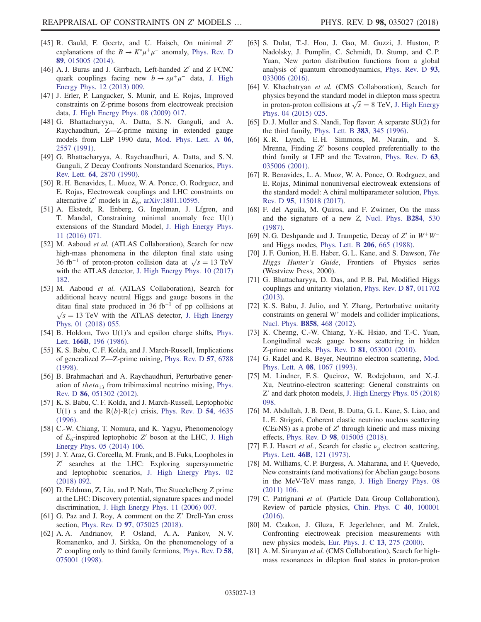- <span id="page-12-0"></span>[45] R. Gauld, F. Goertz, and U. Haisch, On minimal  $Z'$ explanations of the  $B \to K^* \mu^+ \mu^-$  anomaly, [Phys. Rev. D](https://doi.org/10.1103/PhysRevD.89.015005) 89[, 015005 \(2014\).](https://doi.org/10.1103/PhysRevD.89.015005)
- [46] A. J. Buras and J. Girrbach, Left-handed  $Z'$  and  $Z$  FCNC quark couplings facing new  $b \rightarrow s\mu^+\mu^-$  data, [J. High](https://doi.org/10.1007/JHEP12(2013)009) [Energy Phys. 12 \(2013\) 009.](https://doi.org/10.1007/JHEP12(2013)009)
- <span id="page-12-1"></span>[47] J. Erler, P. Langacker, S. Munir, and E. Rojas, Improved constraints on Z-prime bosons from electroweak precision data, [J. High Energy Phys. 08 \(2009\) 017.](https://doi.org/10.1088/1126-6708/2009/08/017)
- [48] G. Bhattacharyya, A. Datta, S.N. Ganguli, and A. Raychaudhuri, Z—Z-prime mixing in extended gauge models from LEP 1990 data, [Mod. Phys. Lett. A](https://doi.org/10.1142/S0217732391003006) 06, [2557 \(1991\)](https://doi.org/10.1142/S0217732391003006).
- [49] G. Bhattacharyya, A. Raychaudhuri, A. Datta, and S.N. Ganguli, Z Decay Confronts Nonstandard Scenarios, [Phys.](https://doi.org/10.1103/PhysRevLett.64.2870) Rev. Lett. 64[, 2870 \(1990\)](https://doi.org/10.1103/PhysRevLett.64.2870).
- <span id="page-12-2"></span>[50] R. H. Benavides, L. Muoz, W. A. Ponce, O. Rodrguez, and E. Rojas, Electroweak couplings and LHC constraints on alternative Z' models in  $E_6$ , [arXiv:1801.10595.](http://arXiv.org/abs/1801.10595)
- <span id="page-12-3"></span>[51] A. Ekstedt, R. Enberg, G. Ingelman, J. Lfgren, and T. Mandal, Constraining minimal anomaly free U(1) extensions of the Standard Model, [J. High Energy Phys.](https://doi.org/10.1007/JHEP11(2016)071) [11 \(2016\) 071.](https://doi.org/10.1007/JHEP11(2016)071)
- <span id="page-12-4"></span>[52] M. Aaboud et al. (ATLAS Collaboration), Search for new high-mass phenomena in the dilepton final state using 36 fb<sup>-1</sup> of proton-proton collision data at  $\sqrt{s} = 13 \text{ TeV}$ <br>with the ATI AS detector I High Energy Phys 10.(2017) with the ATLAS detector, [J. High Energy Phys. 10 \(2017\)](https://doi.org/10.1007/JHEP10(2017)182) [182.](https://doi.org/10.1007/JHEP10(2017)182)
- [53] M. Aaboud et al. (ATLAS Collaboration), Search for additional heavy neutral Higgs and gauge bosons in the ditau final state produced in 36 fb<sup>-1</sup> of pp collisions at  $\sqrt{s}$  = 13 TeV with the ATLAS detector, [J. High Energy](https://doi.org/10.1007/JHEP01(2018)055)<br>Phys. 01.(2018) 055 [Phys. 01 \(2018\) 055.](https://doi.org/10.1007/JHEP01(2018)055)
- <span id="page-12-5"></span>[54] B. Holdom, Two U(1)'s and epsilon charge shifts, [Phys.](https://doi.org/10.1016/0370-2693(86)91377-8) Lett. 166B[, 196 \(1986\).](https://doi.org/10.1016/0370-2693(86)91377-8)
- <span id="page-12-6"></span>[55] K. S. Babu, C. F. Kolda, and J. March-Russell, Implications of generalized Z—Z-prime mixing, [Phys. Rev. D](https://doi.org/10.1103/PhysRevD.57.6788) 57, 6788 [\(1998\).](https://doi.org/10.1103/PhysRevD.57.6788)
- [56] B. Brahmachari and A. Raychaudhuri, Perturbative gener-ation of theta<sub>13</sub> from tribimaximal neutrino mixing, [Phys.](https://doi.org/10.1103/PhysRevD.86.051302) Rev. D 86[, 051302 \(2012\)](https://doi.org/10.1103/PhysRevD.86.051302).
- <span id="page-12-9"></span>[57] K. S. Babu, C. F. Kolda, and J. March-Russell, Leptophobic U(1) s and the  $R(b)$ -R $(c)$  crisis, [Phys. Rev. D](https://doi.org/10.1103/PhysRevD.54.4635) 54, 4635 [\(1996\).](https://doi.org/10.1103/PhysRevD.54.4635)
- [58] C.-W. Chiang, T. Nomura, and K. Yagyu, Phenomenology of  $E_6$ -inspired leptophobic Z' boson at the LHC, [J. High](https://doi.org/10.1007/JHEP05(2014)106) [Energy Phys. 05 \(2014\) 106.](https://doi.org/10.1007/JHEP05(2014)106)
- [59] J. Y. Araz, G. Corcella, M. Frank, and B. Fuks, Loopholes in  $Z'$  searches at the LHC: Exploring supersymmetric and leptophobic scenarios, [J. High Energy Phys. 02](https://doi.org/10.1007/JHEP02(2018)092) [\(2018\) 092.](https://doi.org/10.1007/JHEP02(2018)092)
- <span id="page-12-10"></span>[60] D. Feldman, Z. Liu, and P. Nath, The Stueckelberg Z prime at the LHC: Discovery potential, signature spaces and model discrimination, [J. High Energy Phys. 11 \(2006\) 007.](https://doi.org/10.1088/1126-6708/2006/11/007)
- <span id="page-12-11"></span>[61] G. Paz and J. Roy, A comment on the Z' Drell-Yan cross section, Phys. Rev. D 97[, 075025 \(2018\).](https://doi.org/10.1103/PhysRevD.97.075025)
- [62] A. A. Andrianov, P. Osland, A. A. Pankov, N. V. Romanenko, and J. Sirkka, On the phenomenology of a  $Z'$  coupling only to third family fermions, [Phys. Rev. D](https://doi.org/10.1103/PhysRevD.58.075001) 58, [075001 \(1998\).](https://doi.org/10.1103/PhysRevD.58.075001)
- <span id="page-12-7"></span>[63] S. Dulat, T.-J. Hou, J. Gao, M. Guzzi, J. Huston, P. Nadolsky, J. Pumplin, C. Schmidt, D. Stump, and C. P. Yuan, New parton distribution functions from a global analysis of quantum chromodynamics, [Phys. Rev. D](https://doi.org/10.1103/PhysRevD.93.033006) 93, [033006 \(2016\).](https://doi.org/10.1103/PhysRevD.93.033006)
- <span id="page-12-12"></span>[64] V. Khachatryan et al. (CMS Collaboration), Search for physics beyond the standard model in dilepton mass spectra in proton-proton collisions at  $\sqrt{s} = 8$  TeV, [J. High Energy](https://doi.org/10.1007/JHEP04(2015)025)<br>Phys. 04.(2015) 025 [Phys. 04 \(2015\) 025.](https://doi.org/10.1007/JHEP04(2015)025)
- <span id="page-12-8"></span>[65] D. J. Muller and S. Nandi, Top flavor: A separate SU(2) for the third family, [Phys. Lett. B](https://doi.org/10.1016/0370-2693(96)00745-9) 383, 345 (1996).
- [66] K. R. Lynch, E. H. Simmons, M. Narain, and S. Mrenna, Finding  $Z'$  bosons coupled preferentially to the third family at LEP and the Tevatron, [Phys. Rev. D](https://doi.org/10.1103/PhysRevD.63.035006) 63, [035006 \(2001\).](https://doi.org/10.1103/PhysRevD.63.035006)
- [67] R. Benavides, L. A. Muoz, W. A. Ponce, O. Rodrguez, and E. Rojas, Minimal nonuniversal electroweak extensions of the standard model: A chiral multiparameter solution, [Phys.](https://doi.org/10.1103/PhysRevD.95.115018) Rev. D 95[, 115018 \(2017\)](https://doi.org/10.1103/PhysRevD.95.115018).
- <span id="page-12-13"></span>[68] F. del Aguila, M. Quiros, and F. Zwirner, On the mass and the signature of a new Z, [Nucl. Phys.](https://doi.org/10.1016/0550-3213(87)90049-6) B284, 530 [\(1987\).](https://doi.org/10.1016/0550-3213(87)90049-6)
- [69] N. G. Deshpande and J. Trampetic, Decay of  $Z'$  in  $W^+W^$ and Higgs modes, [Phys. Lett. B](https://doi.org/10.1016/0370-2693(88)90715-0) 206, 665 (1988).
- <span id="page-12-15"></span>[70] J. F. Gunion, H. E. Haber, G. L. Kane, and S. Dawson, The Higgs Hunter's Guide, Frontiers of Physics series (Westview Press, 2000).
- <span id="page-12-16"></span>[71] G. Bhattacharyya, D. Das, and P. B. Pal, Modified Higgs couplings and unitarity violation, [Phys. Rev. D](https://doi.org/10.1103/PhysRevD.87.011702) 87, 011702 [\(2013\).](https://doi.org/10.1103/PhysRevD.87.011702)
- <span id="page-12-17"></span>[72] K. S. Babu, J. Julio, and Y. Zhang, Perturbative unitarity constraints on general W' models and collider implications, Nucl. Phys. B858[, 468 \(2012\).](https://doi.org/10.1016/j.nuclphysb.2012.01.018)
- <span id="page-12-14"></span>[73] K. Cheung, C.-W. Chiang, Y.-K. Hsiao, and T.-C. Yuan, Longitudinal weak gauge bosons scattering in hidden Z-prime models, Phys. Rev. D 81[, 053001 \(2010\)](https://doi.org/10.1103/PhysRevD.81.053001).
- <span id="page-12-19"></span>[74] G. Radel and R. Beyer, Neutrino electron scattering, [Mod.](https://doi.org/10.1142/S0217732393002567) Phys. Lett. A 08[, 1067 \(1993\).](https://doi.org/10.1142/S0217732393002567)
- <span id="page-12-18"></span>[75] M. Lindner, F. S. Queiroz, W. Rodejohann, and X.-J. Xu, Neutrino-electron scattering: General constraints on Z' and dark photon models, [J. High Energy Phys. 05 \(2018\)](https://doi.org/10.1007/JHEP05(2018)098) [098.](https://doi.org/10.1007/JHEP05(2018)098)
- [76] M. Abdullah, J. B. Dent, B. Dutta, G. L. Kane, S. Liao, and L. E. Strigari, Coherent elastic neutrino nucleus scattering (CE $\nu$ NS) as a probe of Z' through kinetic and mass mixing effects, Phys. Rev. D 98[, 015005 \(2018\).](https://doi.org/10.1103/PhysRevD.98.015005)
- [77] F. J. Hasert et al., Search for elastic  $\nu_u$  electron scattering, Phys. Lett. 46B[, 121 \(1973\).](https://doi.org/10.1016/0370-2693(73)90494-2)
- [78] M. Williams, C. P. Burgess, A. Maharana, and F. Quevedo, New constraints (and motivations) for Abelian gauge bosons in the MeV-TeV mass range, [J. High Energy Phys. 08](https://doi.org/10.1007/JHEP08(2011)106) [\(2011\) 106.](https://doi.org/10.1007/JHEP08(2011)106)
- <span id="page-12-20"></span>[79] C. Patrignani et al. (Particle Data Group Collaboration), Review of particle physics, [Chin. Phys. C](https://doi.org/10.1088/1674-1137/40/10/100001) 40, 100001 [\(2016\).](https://doi.org/10.1088/1674-1137/40/10/100001)
- [80] M. Czakon, J. Gluza, F. Jegerlehner, and M. Zralek, Confronting electroweak precision measurements with new physics models, [Eur. Phys. J. C](https://doi.org/10.1007/s100520000278) 13, 275 (2000).
- <span id="page-12-21"></span>[81] A. M. Sirunyan et al. (CMS Collaboration), Search for highmass resonances in dilepton final states in proton-proton